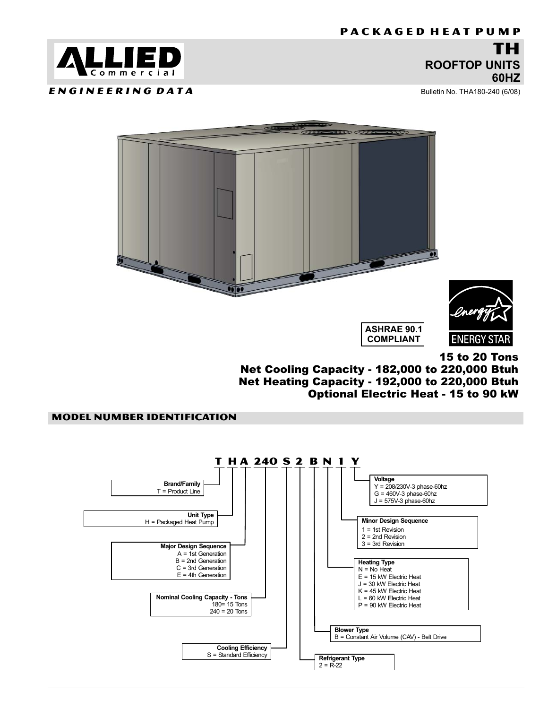# ROOFTOP UNITS 60HZ

Bulletin No. THA180−240 (6/08)

<span id="page-0-0"></span>

ENGINEERING DATA



15 to 20 Tons

Net Cooling Capacity − 182,000 to 220,000 Btuh Net Heating Capacity − 192,000 to 220,000 Btuh Optional Electric Heat − 15 to 90 kW

# MODEL NUMBER IDENTIFICATION

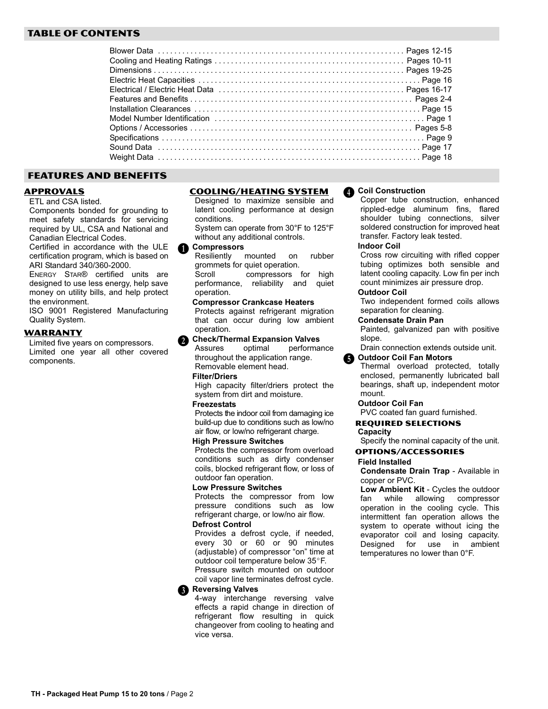# **TABLE OF CONTENTS**

## **FEATURES AND BENEFITS** FEATURES AND BENEFITS

**ETL and CSA listed.** 

Components bonded for grounding to meet safety standards for servicing required by UL, CSA and National and Canadian Electrical Codes.

Certified in accordance with the ULE certification program, which is based on ARI Standard 340/360-2000.

ENERGY STAR® certified units are designed to use less energy, help save money on utility bills, and help protect the environment.

ISO 9001 Registered Manufacturing Quality System.

Limited five years on compressors. Limited one year all other covered components.



Designed to maximize sensible and latent cooling performance at design conditions.

System can operate from 30°F to 125°F without any additional controls.

# **O** Compressors

Resiliently mounted on rubber grommets for quiet operation. Scroll compressors for high

performance, reliability and quiet operation.

Compressor Crankcase Heaters Protects against refrigerant migration that can occur during low ambient operation.

**Check/Thermal Expansion Valves**<br>Assures optimal performa  $\ddot{\mathbf{Q}}$ 

Assures optimal performance throughout the application range. Removable element head.

## Filter/Driers

High capacity filter/driers protect the system from dirt and moisture.

## **Freezestats**

Protects the indoor coil from damaging ice build−up due to conditions such as low/no air flow, or low/no refrigerant charge.

## High Pressure Switches

Protects the compressor from overload conditions such as dirty condenser coils, blocked refrigerant flow, or loss of outdoor fan operation.

## Low Pressure Switches

Protects the compressor from low pressure conditions such as low refrigerant charge, or low/no air flow.

# Defrost Control

Provides a defrost cycle, if needed, every 30 or 60 or 90 minutes (adjustable) of compressor "on" time at outdoor coil temperature below 35°F. Pressure switch mounted on outdoor coil vapor line terminates defrost cycle.

# **B** Reversing Valves

4-way interchange reversing valve effects a rapid change in direction of refrigerant flow resulting in quick changeover from cooling to heating and vice versa.

### Coil Construction E

Copper tube construction, enhanced rippled−edge aluminum fins, flared shoulder tubing connections, silver soldered construction for improved heat transfer. Factory leak tested.

## Indoor Coil

Cross row circuiting with rifled copper tubing optimizes both sensible and latent cooling capacity. Low fin per inch count minimizes air pressure drop.

## Outdoor Coil

Two independent formed coils allows separation for cleaning.

## Condensate Drain Pan

Painted, galvanized pan with positive slope.

Drain connection extends outside unit.

### Outdoor Coil Fan Motors  $\ddot{\bm{\theta}}$

Thermal overload protected, totally enclosed, permanently lubricated ball bearings, shaft up, independent motor mount.

## Outdoor Coil Fan

PVC coated fan guard furnished.

## **REQUIRED SELECTIONS** Capacity **Selection**

Specify the nominal capacity of the unit.

# Field Installed

Condensate Drain Trap − Available in copper or PVC.

Low Ambient Kit − Cycles the outdoor fan while allowing compressor operation in the cooling cycle. This intermittent fan operation allows the system to operate without icing the evaporator coil and losing capacity.<br>Designed for use in ambient Designed for temperatures no lower than 0°F.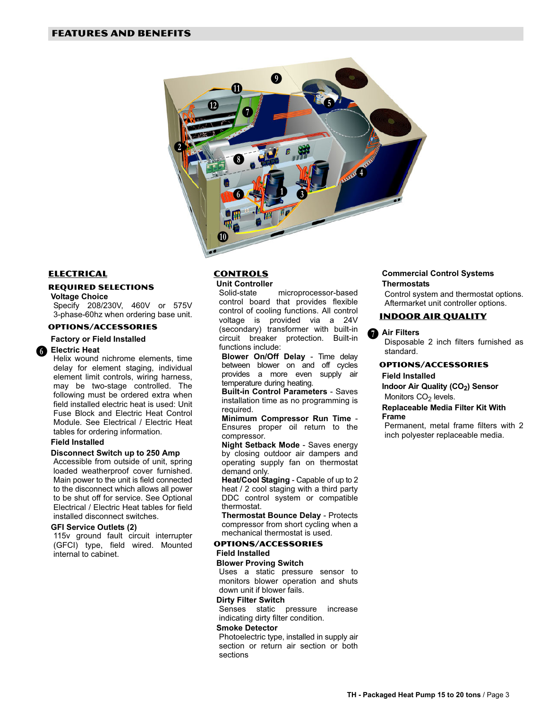

# **ELECTRICAL**

## **REQUIRED SELECTIONS**

Voltage Choice

Specify 208/230V, 460V or 575V 3−phase−60hz when ordering base unit.

# Factory or Field Installed

**G** Electric Heat

Helix wound nichrome elements, time delay for element staging, individual element limit controls, wiring harness, may be two-stage controlled. The following must be ordered extra when field installed electric heat is used: Unit Fuse Block and Electric Heat Control Module. See Electrical / Electric Heat tables for ordering information.

## Field Installed

## Disconnect Switch up to 250 Amp

Accessible from outside of unit, spring loaded weatherproof cover furnished. Main power to the unit is field connected to the disconnect which allows all power to be shut off for service. See Optional Electrical / Electric Heat tables for field installed disconnect switches.

## GFI Service Outlets (2)

115v ground fault circuit interrupter (GFCI) type, field wired. Mounted internal to cabinet.

# **CONTROLS** Unit Controller

Solid−state microprocessor−based control board that provides flexible control of cooling functions. All control voltage is provided via a 24V (secondary) transformer with built−in circuit breaker protection. Built−in functions include:

Blower On/Off Delay - Time delay between blower on and off cycles provides a more even supply air temperature during heating.

Built−in Control Parameters − Saves installation time as no programming is required.

Minimum Compressor Run Time − Ensures proper oil return to the compressor.

Night Setback Mode − Saves energy by closing outdoor air dampers and operating supply fan on thermostat demand only.

Heat/Cool Staging - Capable of up to 2 heat / 2 cool staging with a third party DDC control system or compatible thermostat.

Thermostat Bounce Delay − Protects compressor from short cycling when a mechanical thermostat is used.

# **OPTIONS/ACCESSORIES**

# Field Installed

## Blower Proving Switch

Uses a static pressure sensor to monitors blower operation and shuts down unit if blower fails.

## Dirty Filter Switch

Senses static pressure increase indicating dirty filter condition.

## Smoke Detector

Photoelectric type, installed in supply air section or return air section or both sections

## Commercial Control Systems **Thermostats**

Control system and thermostat options. Aftermarket unit controller options.

# INDOOR AIR QUALITY

# Air Filters

Disposable 2 inch filters furnished as standard.

## **OPTIONS/ACCESSORIES**

# Field Installed

Indoor Air Quality (CO<sub>2</sub>) Sensor Monitors CO<sub>2</sub> levels.

## Replaceable Media Filter Kit With Frame

Permanent, metal frame filters with 2 inch polyester replaceable media.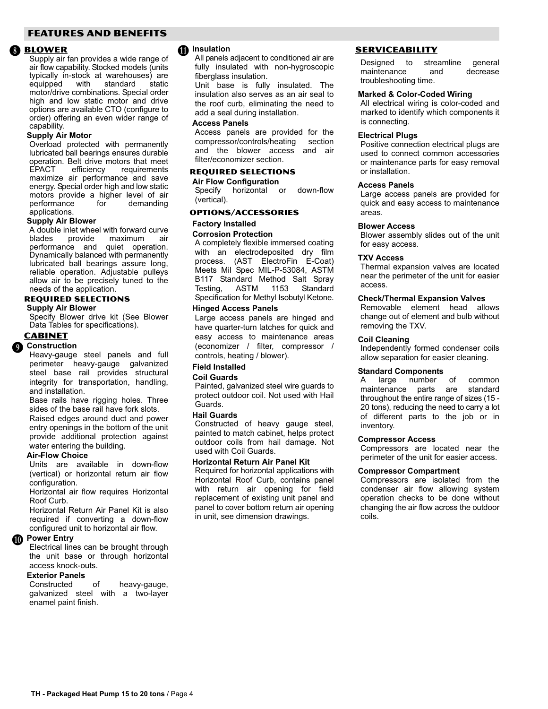## <span id="page-3-0"></span>**FEATURES AND BENEFITS** FEATURES AND BENEFITS

## **A** BLOWER

Supply air fan provides a wide range of air flow capability. Stocked models (units typically in−stock at warehouses) are equipped with standard static motor/drive combinations. Special order high and low static motor and drive options are available CTO (configure to order) offering an even wider range of capability.

## Supply Air Motor

Overload protected with permanently lubricated ball bearings ensures durable operation. Belt drive motors that meet<br>EPACT efficiency requirements requirements maximize air performance and save energy. Special order high and low static motors provide a higher level of air<br>performance for demanding performance applications.

### Supply Air Blower

A double inlet wheel with forward curve<br>blades provide maximum air maximum performance and quiet operation. Dynamically balanced with permanently lubricated ball bearings assure long, reliable operation. Adjustable pulleys allow air to be precisely tuned to the needs of the application.

**Supply Air Blower** 

Specify Blower drive kit (See Blower Data Tables for specifications).

## **CABINET**

# **Q** Construction

Heavy−gauge steel panels and full perimeter heavy−gauge galvanized steel base rail provides structural integrity for transportation, handling, and installation.

Base rails have rigging holes. Three sides of the base rail have fork slots.

Raised edges around duct and power entry openings in the bottom of the unit provide additional protection against water entering the building.

## Air−Flow Choice

Units are available in down−flow (vertical) or horizontal return air flow configuration.

Horizontal air flow requires Horizontal Roof Curb.

Horizontal Return Air Panel Kit is also required if converting a down−flow configured unit to horizontal air flow.

# <sup>Power</sup> Entry

Electrical lines can be brought through the unit base or through horizontal access knock−outs.

# Exterior Panels

Constructed of heavy−gauge, galvanized steel with a two−layer enamel paint finish.

# <sup>1</sup> Insulation

All panels adjacent to conditioned air are fully insulated with non−hygroscopic fiberglass insulation.

Unit base is fully insulated. The insulation also serves as an air seal to the roof curb, eliminating the need to add a seal during installation.

## Access Panels

Access panels are provided for the compressor/controls/heating section and the blower access and air filter/economizer section.

**Air Flow Configuration** Specify horizontal or down−flow

(vertical).

# Factory Installed

## Corrosion Protection

A completely flexible immersed coating with an electrodeposited dry film process. (AST ElectroFin E−Coat) Meets Mil Spec MIL−P−53084, ASTM B117 Standard Method Salt Spray<br>Testing, ASTM 1153 Standard Testing, ASTM 1153 Standard Specification for Methyl Isobutyl Ketone.

### Hinged Access Panels

Large access panels are hinged and have quarter−turn latches for quick and easy access to maintenance areas (economizer / filter, compressor / controls, heating / blower).

Field Installed

## Coil Guards

Painted, galvanized steel wire guards to protect outdoor coil. Not used with Hail Guards.

## Hail Guards

Constructed of heavy gauge steel, painted to match cabinet, helps protect outdoor coils from hail damage. Not used with Coil Guards.

## Horizontal Return Air Panel Kit

Required for horizontal applications with Horizontal Roof Curb, contains panel with return air opening for field replacement of existing unit panel and panel to cover bottom return air opening in unit, see dimension drawings.

# **SERVICEABILITY**

**EXECUTE:**<br>Designed to streamline general maintenance and decrease troubleshooting time.

## Marked & Color−Coded Wiring

All electrical wiring is color−coded and marked to identify which components it is connecting.

## Electrical Plugs

Positive connection electrical plugs are used to connect common accessories or maintenance parts for easy removal or installation.

## Access Panels

Large access panels are provided for quick and easy access to maintenance areas.

### Blower Access

Blower assembly slides out of the unit for easy access.

## TXV Access

Thermal expansion valves are located near the perimeter of the unit for easier access.

## Check/Thermal Expansion Valves

Removable element head allows change out of element and bulb without removing the TXV.

### Coil Cleaning

Independently formed condenser coils allow separation for easier cleaning.

# **Standard Components**<br>A large number

A large number of common maintenance parts are standard throughout the entire range of sizes (15 − 20 tons), reducing the need to carry a lot of different parts to the job or in inventory.

## Compressor Access

Compressors are located near the perimeter of the unit for easier access.

## Compressor Compartment

Compressors are isolated from the condenser air flow allowing system operation checks to be done without changing the air flow across the outdoor coils.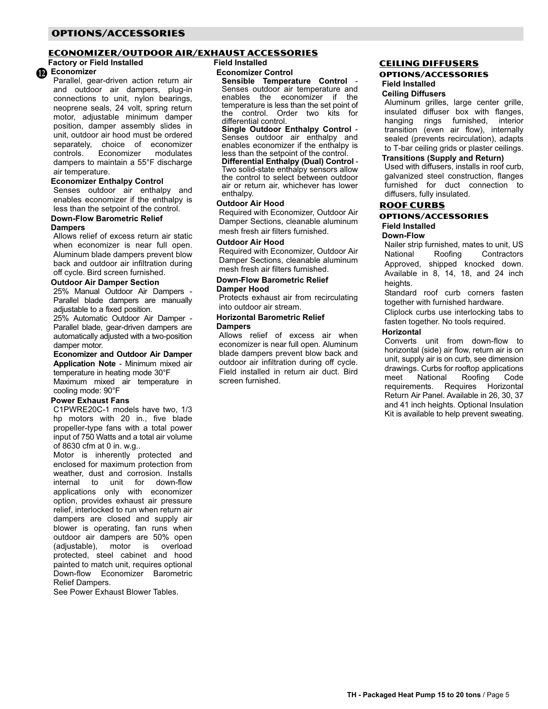# <span id="page-4-0"></span>**OPTIONS/ACCESSORIES**

# Factory or Field Installed Field Installed

<sup>1</sup> Economizer

Parallel, gear−driven action return air and outdoor air dampers, plug-in connections to unit, nylon bearings, neoprene seals, 24 volt, spring return motor, adjustable minimum damper position, damper assembly slides in unit, outdoor air hood must be ordered separately, choice of economizer<br>controls. Economizer modulates Economizer dampers to maintain a 55°F discharge air temperature.

## Economizer Enthalpy Control

Senses outdoor air enthalpy and enables economizer if the enthalpy is less than the setpoint of the control.

## Down−Flow Barometric Relief **Dampers**

Allows relief of excess return air static when economizer is near full open. Aluminum blade dampers prevent blow back and outdoor air infiltration during off cycle. Bird screen furnished.

## Outdoor Air Damper Section

25% Manual Outdoor Air Dampers − Parallel blade dampers are manually adjustable to a fixed position.

25% Automatic Outdoor Air Damper − Parallel blade, gear−driven dampers are automatically adjusted with a two−position damper motor.

## Economizer and Outdoor Air Damper Application Note − Minimum mixed air

temperature in heating mode 30°F Maximum mixed air temperature in cooling mode: 90°F

# Power Exhaust Fans

C1PWRE20C−1 models have two, 1/3 hp motors with 20 in., five blade propeller−type fans with a total power input of 750 Watts and a total air volume of 8630 cfm at 0 in. w.g..

Motor is inherently protected and enclosed for maximum protection from weather, dust and corrosion. Installs internal to unit for down-flow applications only with economizer option, provides exhaust air pressure relief, interlocked to run when return air dampers are closed and supply air blower is operating, fan runs when outdoor air dampers are 50% open (adjustable), motor is overload protected, steel cabinet and hood painted to match unit, requires optional Down-flow Economizer Barometric Relief Dampers.

See Power Exhaust Blower Tables.

## Field Installed

### Economizer Control

Sensible Temperature Control − Senses outdoor air temperature and enables the economizer if the temperature is less than the set point of the control. Order two kits for differential control.<br>Single Outdoor Enthalpy Control -

Single Outdoor Enthalpy Control<sup>−</sup> Senses outdoor air enthalpy and enables economizer if the enthalpy is less than the setpoint of the control.

Differential Enthalpy (Dual) Control<sup>−</sup> Two solid-state enthalpy sensors allow the control to select between outdoor air or return air, whichever has lower enthalpy.

# Outdoor Air Hood

Required with Economizer, Outdoor Air Damper Sections, cleanable aluminum mesh fresh air filters furnished.

## Outdoor Air Hood

Required with Economizer, Outdoor Air Damper Sections, cleanable aluminum mesh fresh air filters furnished.

# Down−Flow Barometric Relief Damper Hood

Protects exhaust air from recirculating into outdoor air stream.

### Horizontal Barometric Relief Dampers

Allows relief of excess air when economizer is near full open. Aluminum blade dampers prevent blow back and outdoor air infiltration during off cycle. Field installed in return air duct. Bird screen furnished.

# <u>CEILING DIFFUSERS</u><br>OPTIONS/ACCESSORIES

# **Field Installed**

## Ceiling Diffusers

Aluminum grilles, large center grille, insulated diffuser box with flanges, hanging rings furnished, interior transition (even air flow), internally sealed (prevents recirculation), adapts to T-bar ceiling grids or plaster ceilings.

# Transitions (Supply and Return)

Used with diffusers, installs in roof curb, galvanized steel construction, flanges furnished for duct connection to diffusers, fully insulated.

# **ROOF CURBS**

# **OPTIONS/ACCESSORIES** Field Installed

### Down−Flow

Nailer strip furnished, mates to unit, US National Roofing Contractors Approved, shipped knocked down. Available in 8, 14, 18, and 24 inch heights.

Standard roof curb corners fasten together with furnished hardware. Cliplock curbs use interlocking tabs to

fasten together. No tools required.

# **Horizontal**

Converts unit from down-flow to horizontal (side) air flow, return air is on unit, supply air is on curb, see dimension drawings. Curbs for rooftop applications meet National Roofing Code requirements. Requires Horizontal Return Air Panel. Available in 26, 30, 37 and 41 inch heights. Optional Insulation Kit is available to help prevent sweating.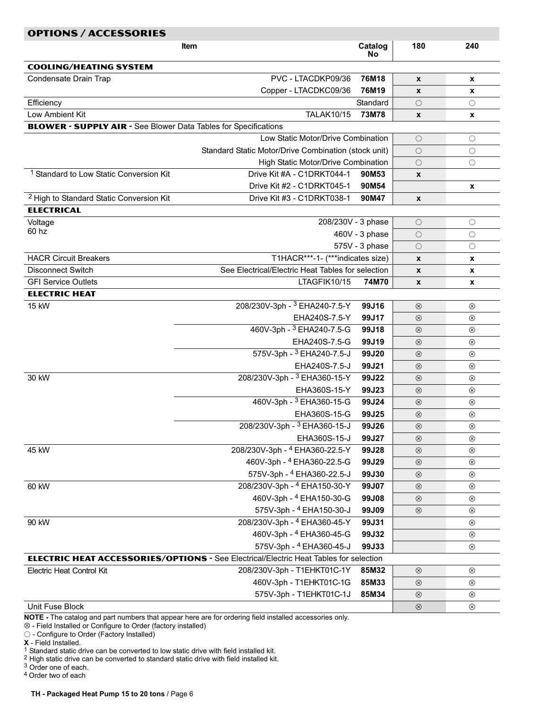| <b>OPTIONS / ACCESSORIES</b><br>Catalog<br>180<br>240<br>Item          |                                                                                              |                |                            |                               |  |  |  |  |  |  |  |  |  |
|------------------------------------------------------------------------|----------------------------------------------------------------------------------------------|----------------|----------------------------|-------------------------------|--|--|--|--|--|--|--|--|--|
|                                                                        |                                                                                              | <b>No</b>      |                            |                               |  |  |  |  |  |  |  |  |  |
| <b>COOLING/HEATING SYSTEM</b>                                          |                                                                                              |                |                            |                               |  |  |  |  |  |  |  |  |  |
| Condensate Drain Trap                                                  | PVC - LTACDKP09/36                                                                           | 76M18          | X                          | x                             |  |  |  |  |  |  |  |  |  |
|                                                                        | Copper - LTACDKC09/36                                                                        | 76M19          | X                          | x                             |  |  |  |  |  |  |  |  |  |
| Efficiency                                                             |                                                                                              | Standard       | $\bigcirc$                 | $\circlearrowright$           |  |  |  |  |  |  |  |  |  |
| Low Ambient Kit                                                        | <b>TALAK10/15</b>                                                                            | 73M78          | $\pmb{\mathsf{x}}$         | x                             |  |  |  |  |  |  |  |  |  |
| <b>BLOWER - SUPPLY AIR - See Blower Data Tables for Specifications</b> |                                                                                              |                |                            |                               |  |  |  |  |  |  |  |  |  |
|                                                                        | Low Static Motor/Drive Combination                                                           |                | $\bigcirc$                 | $\bigcirc$                    |  |  |  |  |  |  |  |  |  |
|                                                                        | Standard Static Motor/Drive Combination (stock unit)                                         |                | $\bigcirc$                 | $\circlearrowright$           |  |  |  |  |  |  |  |  |  |
|                                                                        | High Static Motor/Drive Combination                                                          |                | $\bigcirc$                 | О                             |  |  |  |  |  |  |  |  |  |
| <sup>1</sup> Standard to Low Static Conversion Kit                     | Drive Kit #A - C1DRKT044-1                                                                   | 90M53          | X                          |                               |  |  |  |  |  |  |  |  |  |
|                                                                        | Drive Kit #2 - C1DRKT045-1                                                                   | 90M54          |                            | x                             |  |  |  |  |  |  |  |  |  |
| <sup>2</sup> High to Standard Static Conversion Kit                    | Drive Kit #3 - C1DRKT038-1                                                                   | 90M47          | $\pmb{\chi}$               |                               |  |  |  |  |  |  |  |  |  |
| <b>ELECTRICAL</b>                                                      |                                                                                              |                |                            |                               |  |  |  |  |  |  |  |  |  |
| Voltage                                                                | 208/230V - 3 phase                                                                           |                | $\bigcirc$                 | $\bigcirc$                    |  |  |  |  |  |  |  |  |  |
| 60 hz                                                                  |                                                                                              | 460V - 3 phase | $\bigcirc$                 | $\bigcirc$                    |  |  |  |  |  |  |  |  |  |
|                                                                        |                                                                                              | 575V - 3 phase | $\bigcirc$                 | $\bigcirc$                    |  |  |  |  |  |  |  |  |  |
| <b>HACR Circuit Breakers</b>                                           | T1HACR***-1- (***indicates size)                                                             |                | $\pmb{\mathsf{x}}$         | x                             |  |  |  |  |  |  |  |  |  |
| <b>Disconnect Switch</b>                                               | See Electrical/Electric Heat Tables for selection                                            |                | $\pmb{\mathsf{x}}$         | X                             |  |  |  |  |  |  |  |  |  |
| <b>GFI Service Outlets</b>                                             | LTAGFIK10/15                                                                                 | 74M70          | $\pmb{\chi}$               | X                             |  |  |  |  |  |  |  |  |  |
| <b>ELECTRIC HEAT</b>                                                   |                                                                                              |                |                            |                               |  |  |  |  |  |  |  |  |  |
| 15 kW                                                                  | 208/230V-3ph - 3 EHA240-7.5-Y                                                                | 99J16          | $\otimes$                  | $^{\circledR}$                |  |  |  |  |  |  |  |  |  |
|                                                                        | EHA240S-7.5-Y                                                                                | 99J17          | $\otimes$                  | $^{\circledR}$                |  |  |  |  |  |  |  |  |  |
|                                                                        | 460V-3ph - 3 EHA240-7.5-G                                                                    | 99J18          | $\otimes$                  | $^{\circledR}$                |  |  |  |  |  |  |  |  |  |
|                                                                        | EHA240S-7.5-G                                                                                | 99J19          | $\otimes$                  | ⊗                             |  |  |  |  |  |  |  |  |  |
|                                                                        | 575V-3ph - 3 EHA240-7.5-J                                                                    | 99J20          | $\otimes$                  | $^{\circledR}$                |  |  |  |  |  |  |  |  |  |
|                                                                        | EHA240S-7.5-J                                                                                | 99J21          | $\otimes$                  | $^{\circledR}$                |  |  |  |  |  |  |  |  |  |
| 30 kW                                                                  | 208/230V-3ph - 3 EHA360-15-Y                                                                 | 99J22          | $\otimes$                  | $^{\circledR}$                |  |  |  |  |  |  |  |  |  |
|                                                                        | EHA360S-15-Y                                                                                 | 99J23          | $\otimes$                  | ⊗                             |  |  |  |  |  |  |  |  |  |
|                                                                        | 460V-3ph - 3 EHA360-15-G                                                                     | 99J24          | $\circledR$                | $^{\circledR}$                |  |  |  |  |  |  |  |  |  |
|                                                                        | EHA360S-15-G<br>208/230V-3ph - 3 EHA360-15-J                                                 | 99J25          | $\circledR$                | $^{\circledR}$                |  |  |  |  |  |  |  |  |  |
|                                                                        |                                                                                              | 99J26          | $\circledR$                | $\circledR$                   |  |  |  |  |  |  |  |  |  |
| 45 kW                                                                  | EHA360S-15-J<br>208/230V-3ph - 4 EHA360-22.5-Y                                               | 99J27<br>99J28 | $\circledR$                | $^{\circledR}$                |  |  |  |  |  |  |  |  |  |
|                                                                        | 460V-3ph - <sup>4</sup> EHA360-22.5-G                                                        | 99J29          | $\circledR$<br>$\otimes$   | $\circledR$<br>$^{\circledR}$ |  |  |  |  |  |  |  |  |  |
|                                                                        | 575V-3ph - 4 EHA360-22.5-J                                                                   | 99J30          | $\otimes$                  | $\circledR$                   |  |  |  |  |  |  |  |  |  |
| 60 kW                                                                  | 208/230V-3ph - 4 EHA150-30-Y                                                                 | 99J07          |                            |                               |  |  |  |  |  |  |  |  |  |
|                                                                        | 460V-3ph - 4 EHA150-30-G                                                                     | 99J08          | $\circledR$<br>$\circledR$ | $\circledR$<br>$^{\circledR}$ |  |  |  |  |  |  |  |  |  |
|                                                                        | 575V-3ph - 4 EHA150-30-J                                                                     | 99J09          | $\otimes$                  | $\circledR$                   |  |  |  |  |  |  |  |  |  |
| 90 kW                                                                  | 208/230V-3ph - 4 EHA360-45-Y                                                                 | 99J31          |                            | $^{\circledR}$                |  |  |  |  |  |  |  |  |  |
|                                                                        | 460V-3ph - 4 EHA360-45-G                                                                     | 99J32          |                            | $\circledR$                   |  |  |  |  |  |  |  |  |  |
|                                                                        | 575V-3ph - 4 EHA360-45-J                                                                     | 99J33          |                            | $^{\circledR}$                |  |  |  |  |  |  |  |  |  |
|                                                                        | <b>ELECTRIC HEAT ACCESSORIES/OPTIONS - See Electrical/Electric Heat Tables for selection</b> |                |                            |                               |  |  |  |  |  |  |  |  |  |
| Electric Heat Control Kit                                              | 208/230V-3ph - T1EHKT01C-1Y                                                                  | 85M32          | $\circledR$                | $\circledR$                   |  |  |  |  |  |  |  |  |  |
|                                                                        | 460V-3ph - T1EHKT01C-1G                                                                      | 85M33          | $\otimes$                  | $^{\circledR}$                |  |  |  |  |  |  |  |  |  |
|                                                                        | 575V-3ph - T1EHKT01C-1J                                                                      | 85M34          | $\circledR$                | $\circledR$                   |  |  |  |  |  |  |  |  |  |
| Unit Fuse Block                                                        |                                                                                              |                | $\circledR$                | $\circledR$                   |  |  |  |  |  |  |  |  |  |
|                                                                        |                                                                                              |                |                            |                               |  |  |  |  |  |  |  |  |  |

NOTE - The catalog and part numbers that appear here are for ordering field installed accessories only.

⊗ − Field Installed or Configure to Order (factory installed)

− Configure to Order (Factory Installed)

X − Field Installed.

 $1$  Standard static drive can be converted to low static drive with field installed kit.

 $2$  High static drive can be converted to standard static drive with field installed kit.

<sup>3</sup> Order one of each.

4 Order two of each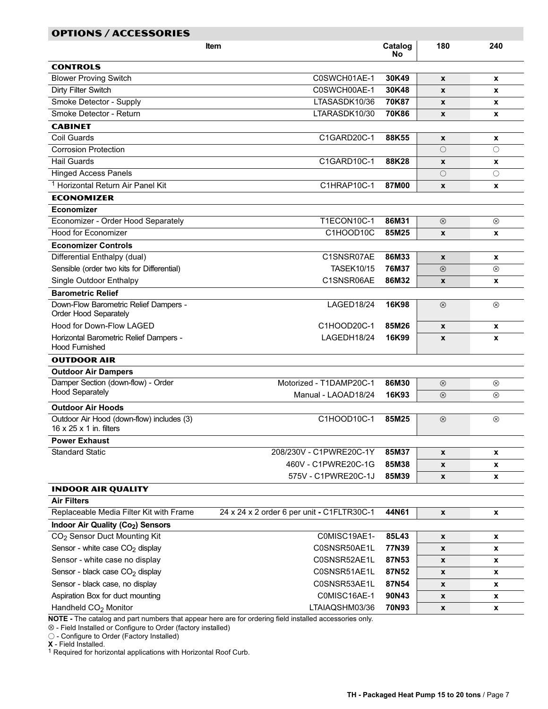| OPTIONS / ACCESSORIES                                           |                                                                                                         |               |                    |                    |
|-----------------------------------------------------------------|---------------------------------------------------------------------------------------------------------|---------------|--------------------|--------------------|
|                                                                 | <b>Item</b>                                                                                             | Catalog<br>No | 180                | 240                |
| <b>CONTROLS</b>                                                 |                                                                                                         |               |                    |                    |
| <b>Blower Proving Switch</b>                                    | C0SWCH01AE-1                                                                                            | 30K49         | X                  | X                  |
| Dirty Filter Switch                                             | C0SWCH00AE-1                                                                                            | 30K48         | X                  | X                  |
| Smoke Detector - Supply                                         | LTASASDK10/36                                                                                           | 70K87         | X                  | X                  |
| Smoke Detector - Return                                         | LTARASDK10/30                                                                                           | 70K86         | X                  | X                  |
| <b>CABINET</b>                                                  |                                                                                                         |               |                    |                    |
| Coil Guards                                                     | C1GARD20C-1                                                                                             | 88K55         | $\pmb{\mathsf{x}}$ | x                  |
| <b>Corrosion Protection</b>                                     |                                                                                                         |               | $\bigcirc$         | $\bigcirc$         |
| <b>Hail Guards</b>                                              | C1GARD10C-1                                                                                             | 88K28         | $\pmb{\mathsf{x}}$ | x                  |
| <b>Hinged Access Panels</b>                                     |                                                                                                         |               | О                  | $\circ$            |
| <sup>1</sup> Horizontal Return Air Panel Kit                    | C1HRAP10C-1                                                                                             | 87M00         | X                  | X                  |
| <b>ECONOMIZER</b>                                               |                                                                                                         |               |                    |                    |
| Economizer                                                      |                                                                                                         |               |                    |                    |
| Economizer - Order Hood Separately                              | T1ECON10C-1                                                                                             | 86M31         | $^{\circledR}$     | $^{\circledR}$     |
| <b>Hood for Economizer</b>                                      | C1HOOD10C                                                                                               | 85M25         | $\pmb{\mathsf{x}}$ | x                  |
| <b>Economizer Controls</b>                                      |                                                                                                         |               |                    |                    |
| Differential Enthalpy (dual)                                    | C1SNSR07AE                                                                                              | 86M33         | $\mathbf{x}$       | X                  |
| Sensible (order two kits for Differential)                      | <b>TASEK10/15</b>                                                                                       | 76M37         | $\circledR$        | ⊗                  |
| Single Outdoor Enthalpy                                         | C1SNSR06AE                                                                                              | 86M32         | X                  | X                  |
| <b>Barometric Relief</b>                                        |                                                                                                         |               |                    |                    |
| Down-Flow Barometric Relief Dampers -                           | LAGED18/24                                                                                              | 16K98         | $\circledR$        | $^{\circledR}$     |
| Order Hood Separately                                           |                                                                                                         |               |                    |                    |
| Hood for Down-Flow LAGED                                        | C1HOOD20C-1                                                                                             | 85M26         | $\mathbf{x}$       | $\pmb{\mathsf{x}}$ |
| Horizontal Barometric Relief Dampers -<br><b>Hood Furnished</b> | LAGEDH18/24                                                                                             | 16K99         | $\boldsymbol{x}$   | $\boldsymbol{x}$   |
| <b>OUTDOOR AIR</b>                                              |                                                                                                         |               |                    |                    |
| <b>Outdoor Air Dampers</b>                                      |                                                                                                         |               |                    |                    |
| Damper Section (down-flow) - Order                              | Motorized - T1DAMP20C-1                                                                                 | 86M30         | $\otimes$          | ⊗                  |
| <b>Hood Separately</b>                                          | Manual - LAOAD18/24                                                                                     | 16K93         | $\otimes$          | $^{\circledR}$     |
| <b>Outdoor Air Hoods</b>                                        |                                                                                                         |               |                    |                    |
| Outdoor Air Hood (down-flow) includes (3)                       | C1HOOD10C-1                                                                                             | 85M25         | $^{\circledR}$     | $^{\circledR}$     |
| 16 $\times$ 25 $\times$ 1 in. filters                           |                                                                                                         |               |                    |                    |
| <b>Power Exhaust</b>                                            |                                                                                                         |               |                    |                    |
| <b>Standard Static</b>                                          | 208/230V - C1PWRE20C-1Y                                                                                 | 85M37         | X                  | $\pmb{\mathsf{x}}$ |
|                                                                 | 460V - C1PWRE20C-1G                                                                                     | 85M38         | X                  | X                  |
|                                                                 | 575V - C1PWRE20C-1J                                                                                     | 85M39         | x                  | x                  |
| <b>INDOOR AIR QUALITY</b>                                       |                                                                                                         |               |                    |                    |
| <b>Air Filters</b>                                              |                                                                                                         |               |                    |                    |
| Replaceable Media Filter Kit with Frame                         | 24 x 24 x 2 order 6 per unit - C1FLTR30C-1                                                              | 44N61         | $\pmb{\mathsf{x}}$ | X                  |
| Indoor Air Quality (Co <sub>2</sub> ) Sensors                   |                                                                                                         |               |                    |                    |
| CO <sub>2</sub> Sensor Duct Mounting Kit                        | C0MISC19AE1-                                                                                            | 85L43         | $\pmb{\mathsf{x}}$ | $\pmb{\mathsf{x}}$ |
| Sensor - white case CO <sub>2</sub> display                     | C0SNSR50AE1L                                                                                            | 77N39         | X                  | x                  |
| Sensor - white case no display                                  | C0SNSR52AE1L                                                                                            | 87N53         | X                  | x                  |
| Sensor - black case CO <sub>2</sub> display                     | C0SNSR51AE1L                                                                                            | 87N52         | X                  | x                  |
| Sensor - black case, no display                                 | C0SNSR53AE1L                                                                                            | 87N54         | x                  | x                  |
| Aspiration Box for duct mounting                                | COMISC16AE-1                                                                                            | 90N43         | X                  | x                  |
| Handheld CO <sub>2</sub> Monitor                                | LTAIAQSHM03/36                                                                                          | 70N93         | X                  | x                  |
|                                                                 | NOTE - The catalog and part numbers that appear here are for ordering field installed accessories only. |               |                    |                    |

⊗ − Field Installed or Configure to Order (factory installed)

− Configure to Order (Factory Installed)

n.

X − Field Installed.

<sup>1</sup> Required for horizontal applications with Horizontal Roof Curb.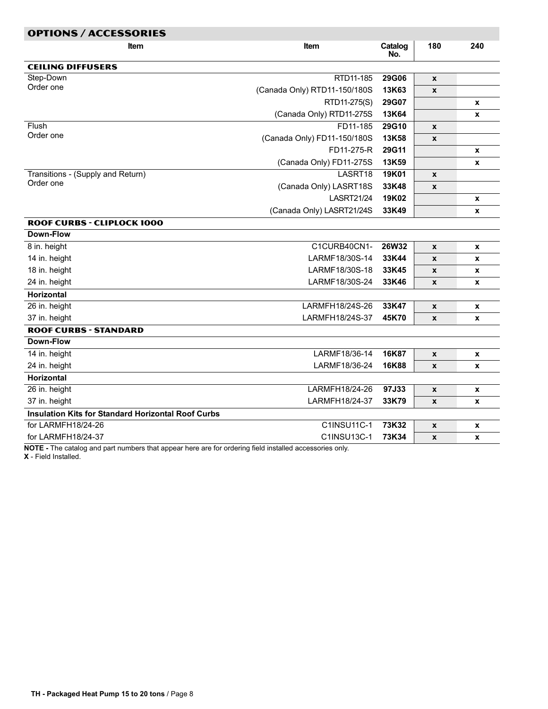<span id="page-7-0"></span>

| <b>OPTIONS / ACCESSORIES</b>                              |                              |                |                    |     |
|-----------------------------------------------------------|------------------------------|----------------|--------------------|-----|
| ltem                                                      | <b>Item</b>                  | Catalog<br>No. | 180                | 240 |
| <b>CEILING DIFFUSERS</b>                                  |                              |                |                    |     |
| Step-Down                                                 | RTD11-185                    | 29G06          | $\pmb{\mathsf{x}}$ |     |
| Order one                                                 | (Canada Only) RTD11-150/180S | 13K63          | $\mathbf{x}$       |     |
|                                                           | RTD11-275(S)                 | 29G07          |                    | X   |
|                                                           | (Canada Only) RTD11-275S     | 13K64          |                    | X   |
| Flush                                                     | FD11-185                     | 29G10          | $\pmb{\mathsf{x}}$ |     |
| Order one                                                 | (Canada Only) FD11-150/180S  | 13K58          | $\pmb{\mathsf{x}}$ |     |
|                                                           | FD11-275-R                   | 29G11          |                    | x   |
|                                                           | (Canada Only) FD11-275S      | 13K59          |                    | X   |
| Transitions - (Supply and Return)                         | LASRT18                      | 19K01          | X                  |     |
| Order one                                                 | (Canada Only) LASRT18S       | 33K48          | $\pmb{\mathsf{x}}$ |     |
|                                                           | <b>LASRT21/24</b>            | 19K02          |                    | x   |
|                                                           | (Canada Only) LASRT21/24S    | 33K49          |                    | X   |
| <b>ROOF CURBS - CLIPLOCK 1000</b>                         |                              |                |                    |     |
| Down-Flow                                                 |                              |                |                    |     |
| 8 in. height                                              | C1CURB40CN1-                 | 26W32          | $\pmb{\mathsf{x}}$ | x   |
| 14 in. height                                             | LARMF18/30S-14               | 33K44          | $\pmb{\mathsf{x}}$ | X   |
| 18 in. height                                             | LARMF18/30S-18               | 33K45          | X                  | X   |
| 24 in. height                                             | LARMF18/30S-24               | 33K46          | $\pmb{\mathsf{x}}$ | X   |
| <b>Horizontal</b>                                         |                              |                |                    |     |
| 26 in. height                                             | LARMFH18/24S-26              | 33K47          | $\pmb{\mathsf{x}}$ | X   |
| 37 in. height                                             | LARMFH18/24S-37              | 45K70          | $\pmb{\mathsf{x}}$ | X   |
| <b>ROOF CURBS - STANDARD</b>                              |                              |                |                    |     |
| Down-Flow                                                 |                              |                |                    |     |
| 14 in. height                                             | LARMF18/36-14                | 16K87          | $\pmb{\mathsf{x}}$ | x   |
| 24 in. height                                             | LARMF18/36-24                | 16K88          | $\pmb{\mathsf{x}}$ | X   |
| <b>Horizontal</b>                                         |                              |                |                    |     |
| 26 in. height                                             | LARMFH18/24-26               | 97J33          | $\pmb{\mathsf{x}}$ | X   |
| 37 in. height                                             | LARMFH18/24-37               | 33K79          | X                  | X   |
| <b>Insulation Kits for Standard Horizontal Roof Curbs</b> |                              |                |                    |     |
| for LARMFH18/24-26                                        | C1INSU11C-1                  | 73K32          | $\pmb{\mathsf{x}}$ | x   |
| for LARMFH18/24-37                                        | C1INSU13C-1                  | 73K34          | $\pmb{\mathsf{x}}$ | X   |

NOTE − The catalog and part numbers that appear here are for ordering field installed accessories only.

X − Field Installed.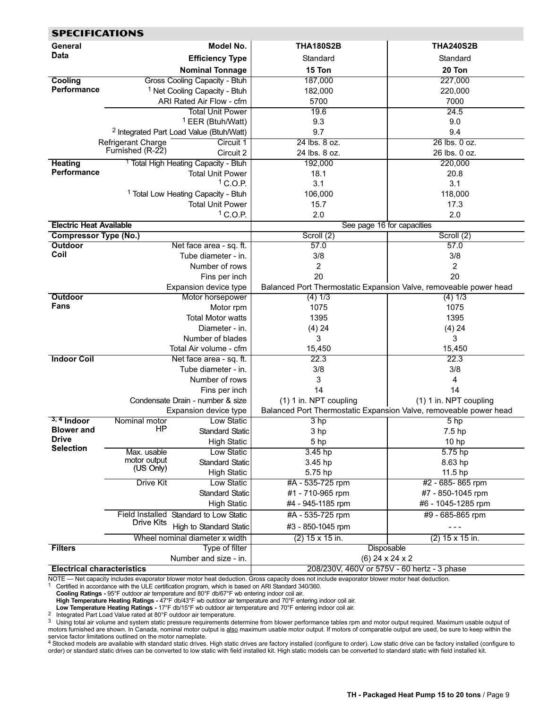<span id="page-8-0"></span>

| <b>SPECIFICATIONS</b>             |                                               |                                                     |                                                                   |                            |  |  |  |  |  |
|-----------------------------------|-----------------------------------------------|-----------------------------------------------------|-------------------------------------------------------------------|----------------------------|--|--|--|--|--|
| General                           |                                               | Model No.                                           | <b>THA180S2B</b>                                                  | <b>THA240S2B</b>           |  |  |  |  |  |
| Data                              |                                               | <b>Efficiency Type</b>                              | Standard                                                          | Standard                   |  |  |  |  |  |
|                                   |                                               | <b>Nominal Tonnage</b>                              | 15 Ton                                                            | 20 Ton                     |  |  |  |  |  |
| Cooling                           |                                               | Gross Cooling Capacity - Btuh                       | 187,000                                                           | 227,000                    |  |  |  |  |  |
| Performance                       |                                               | <sup>1</sup> Net Cooling Capacity - Btuh            | 182,000                                                           | 220,000                    |  |  |  |  |  |
|                                   |                                               | ARI Rated Air Flow - cfm                            | 5700                                                              | 7000                       |  |  |  |  |  |
|                                   |                                               | <b>Total Unit Power</b>                             | 19.6                                                              | 24.5                       |  |  |  |  |  |
|                                   |                                               | <sup>1</sup> EER (Btuh/Watt)                        | 9.3                                                               | 9.0                        |  |  |  |  |  |
|                                   |                                               |                                                     | 9.7                                                               | 9.4                        |  |  |  |  |  |
|                                   |                                               | <sup>2</sup> Integrated Part Load Value (Btuh/Watt) |                                                                   | 26 lbs. 0 oz.              |  |  |  |  |  |
|                                   | <b>Refrigerant Charge</b><br>Furnished (R-22) | Circuit 1<br>Circuit 2                              | 24 lbs. 8 oz.<br>24 lbs. 8 oz.                                    | 26 lbs. 0 oz.              |  |  |  |  |  |
|                                   |                                               |                                                     |                                                                   |                            |  |  |  |  |  |
| <b>Heating</b><br>Performance     |                                               | <sup>1</sup> Total High Heating Capacity - Btuh     | 192,000                                                           | 220,000                    |  |  |  |  |  |
|                                   |                                               | <b>Total Unit Power</b>                             | 18.1                                                              | 20.8                       |  |  |  |  |  |
|                                   |                                               | $1$ C.O.P.                                          | 3.1                                                               | 3.1                        |  |  |  |  |  |
|                                   |                                               | <sup>1</sup> Total Low Heating Capacity - Btuh      | 106,000                                                           | 118,000                    |  |  |  |  |  |
|                                   |                                               | <b>Total Unit Power</b>                             | 15.7                                                              | 17.3                       |  |  |  |  |  |
|                                   |                                               | $1$ C.O.P.                                          | 2.0                                                               | 2.0                        |  |  |  |  |  |
| <b>Electric Heat Available</b>    |                                               |                                                     |                                                                   | See page 16 for capacities |  |  |  |  |  |
| <b>Compressor Type (No.)</b>      |                                               |                                                     | Scroll (2)                                                        | Scroll (2)                 |  |  |  |  |  |
| <b>Outdoor</b>                    |                                               | Net face area - sq. ft.                             | 57.0                                                              | 57.0                       |  |  |  |  |  |
| Coil                              |                                               | Tube diameter - in.                                 | 3/8                                                               | 3/8                        |  |  |  |  |  |
|                                   |                                               | Number of rows                                      | 2                                                                 | 2                          |  |  |  |  |  |
|                                   |                                               | Fins per inch                                       | 20                                                                | 20                         |  |  |  |  |  |
|                                   |                                               | Expansion device type                               | Balanced Port Thermostatic Expansion Valve, removeable power head |                            |  |  |  |  |  |
| <b>Outdoor</b>                    |                                               | Motor horsepower                                    | (4) 1/3                                                           | (4) 1/3                    |  |  |  |  |  |
| Fans                              |                                               | Motor rpm                                           | 1075                                                              | 1075                       |  |  |  |  |  |
|                                   |                                               | Total Motor watts                                   | 1395                                                              | 1395                       |  |  |  |  |  |
|                                   |                                               | Diameter - in.                                      | (4) 24                                                            | (4) 24                     |  |  |  |  |  |
|                                   |                                               | Number of blades                                    | 3                                                                 | 3                          |  |  |  |  |  |
|                                   |                                               | Total Air volume - cfm                              | 15,450                                                            | 15,450                     |  |  |  |  |  |
| <b>Indoor Coil</b>                |                                               | Net face area - sq. ft.                             | 22.3                                                              | 22.3                       |  |  |  |  |  |
|                                   |                                               | Tube diameter - in.                                 | 3/8                                                               | 3/8                        |  |  |  |  |  |
|                                   |                                               | Number of rows                                      | 3                                                                 | 4                          |  |  |  |  |  |
|                                   |                                               | Fins per inch                                       | 14                                                                | 14                         |  |  |  |  |  |
|                                   |                                               | Condensate Drain - number & size                    | (1) 1 in. NPT coupling                                            | (1) 1 in. NPT coupling     |  |  |  |  |  |
|                                   |                                               | Expansion device type                               | Balanced Port Thermostatic Expansion Valve, removeable power head |                            |  |  |  |  |  |
| $3, 4$ Indoor                     | Nominal motor                                 | Low Static                                          | 3 <sub>hp</sub>                                                   | 5 <sub>hp</sub>            |  |  |  |  |  |
| <b>Blower and</b>                 | <b>Example 1</b>                              | Standard Static                                     | 3 hp                                                              | 7.5 hp                     |  |  |  |  |  |
| <b>Drive</b><br><b>Selection</b>  |                                               | <b>High Static</b>                                  | 5 hp                                                              | 10 hp                      |  |  |  |  |  |
|                                   | Max. usable                                   | Low Static                                          | 3.45 hp                                                           | $5.75$ hp                  |  |  |  |  |  |
|                                   | motor output<br>(US Only)                     | <b>Standard Static</b>                              | 3.45 hp                                                           | 8.63 hp                    |  |  |  |  |  |
|                                   |                                               | <b>High Static</b>                                  | 5.75 hp                                                           | 11.5 hp                    |  |  |  |  |  |
|                                   | <b>Drive Kit</b>                              | Low Static                                          | #A - 535-725 rpm                                                  | #2 - 685-865 rpm           |  |  |  |  |  |
|                                   |                                               | <b>Standard Static</b>                              | #1 - 710-965 rpm                                                  | #7 - 850-1045 rpm          |  |  |  |  |  |
|                                   |                                               | <b>High Static</b>                                  | #4 - 945-1185 rpm                                                 | #6 - 1045-1285 rpm         |  |  |  |  |  |
|                                   |                                               | Field Installed Standard to Low Static              | #A - 535-725 rpm                                                  | #9 - 685-865 rpm           |  |  |  |  |  |
|                                   | Drive Kits                                    | <b>High to Standard Static</b>                      | #3 - 850-1045 rpm                                                 | $- - -$                    |  |  |  |  |  |
|                                   |                                               | Wheel nominal diameter x width                      | $(2)$ 15 x 15 in.                                                 | $(2)$ 15 x 15 in.          |  |  |  |  |  |
| <b>Filters</b>                    |                                               | Type of filter                                      | Disposable                                                        |                            |  |  |  |  |  |
|                                   |                                               | Number and size - in.                               | $(6)$ 24 x 24 x 2                                                 |                            |  |  |  |  |  |
| <b>Electrical characteristics</b> |                                               |                                                     | 208/230V, 460V or 575V - 60 hertz - 3 phase                       |                            |  |  |  |  |  |

NOTE Net capacity includes evaporator blower motor heat deduction. Gross capacity does not include evaporator blower motor heat deduction.

1 Certified in accordance with the ULE certification program, which is based on ARI Standard 340/360.

Cooling Ratings − 95°F outdoor air temperature and 80°F db/67°F wb entering indoor coil air.

**High Temperature Heating Ratings -** 47°F db/43°F wb outdoor air temperature and 70°F entering indoor coil air.<br>**Low Temperature Heating Ratings -** 17°F db/15°F wb outdoor air temperature and 70°F entering indoor coil air

<sup>2</sup> Integrated Part Load Value rated at 80°F outdoor air temperature.<br><sup>3</sup> Using total air volume and system static pressure requirements determine from blower performance tables rpm and motor output required. Maximum usabl motors furnished are shown. In Canada, nominal motor output is <u>also</u> maximum usable motor output. If motors of comparable output are used, be sure to keep within the

service factor limitations outlined on the motor nameplate.<br><sup>4</sup> Stocked models are available with standard static drives. High static drives are factory installed (configure to order). Low static drive can be factory insta order) or standard static drives can be converted to low static with field installed kit. High static models can be converted to standard static with field installed kit.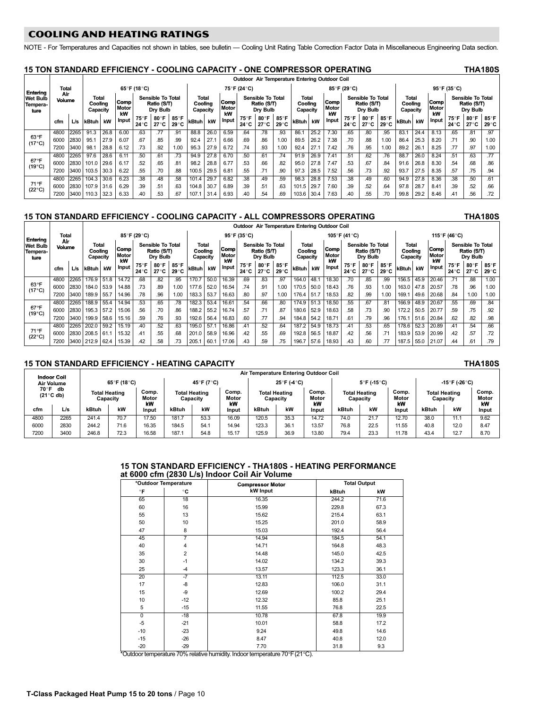# <span id="page-9-0"></span>**COOLING AND HEATING RATINGS**

COOLING AND heating RATINGS NOTE − For Temperatures and Capacities not shown in tables, see bulletin Cooling Unit Rating Table Correction Factor Data in Miscellaneous Engineering Data section.

## 15 TON STANDARD EFFICIENCY - COOLING CAPACITY - ONE COMPRESSOR OPERATING

|                                     |               |      |                                     |      |                     |              |                                                     |                        |                              |      |                     | Outdoor Air Temperature Entering Outdoor Coil |                                                     |              |                              |      |                     |               |                                              |               |                              |      |                     |              |                                                     |               |
|-------------------------------------|---------------|------|-------------------------------------|------|---------------------|--------------|-----------------------------------------------------|------------------------|------------------------------|------|---------------------|-----------------------------------------------|-----------------------------------------------------|--------------|------------------------------|------|---------------------|---------------|----------------------------------------------|---------------|------------------------------|------|---------------------|--------------|-----------------------------------------------------|---------------|
| Entering                            | Total         |      |                                     |      |                     | 65°F (18°C)  |                                                     |                        |                              |      |                     | 75°F (24°C)                                   |                                                     |              |                              |      |                     | 85°F (29°C)   |                                              |               |                              |      |                     | 95°F (35°C)  |                                                     |               |
| <b>Wet Bulb</b><br>Tempera-<br>ture | Air<br>Volume |      | <b>Total</b><br>Coolina<br>Capacity |      | Comp<br>Motor<br>kW |              | <b>Sensible To Total</b><br>Ratio (S/T)<br>Drv Bulb |                        | Total<br>Coolina<br>Capacity |      | Comp<br>Motor<br>kW |                                               | <b>Sensible To Total</b><br>Ratio (S/T)<br>Drv Bulb |              | Total<br>Coolina<br>Capacity |      | Comp<br>Motor<br>kW |               | Sensible To Total<br>Ratio (S/T)<br>Drv Bulb |               | Total<br>Coolina<br>Capacity |      | Comp<br>Motor<br>kW |              | <b>Sensible To Total</b><br>Ratio (S/T)<br>Drv Bulb |               |
|                                     | cfm           | L/s  | kBtuh                               | kW   | Input               | 75°F<br>24°C | 80°F<br>27 °C                                       | 85°F<br>$29^{\circ}$ C | kBtuh                        | kW   | Input               | 75°F<br>24 ° C                                | $80^\circ$ F 85°F<br>27°C                           | $29^\circ C$ | kBtuh                        | kW   | <b>Input</b>        | 75°F<br>24 °C | 80°F<br>27 ° C                               | 85°F<br>29 °C | kBtuh kW                     |      | Input               | 75°F<br>24°C | 80°F<br>27°C                                        | 85°F<br>29 °C |
|                                     | 4800          | 2265 | 91.3                                | 26.8 | 6.00                | .63          |                                                     | .91                    | 88.8                         | 26.0 | 6.59                | .64                                           | .78                                                 | .93          | 86.7                         | 25.2 | 7.30                | .65           | .80                                          | .95           | 83.7                         | 24.4 | 8.13                | .65          | .81                                                 | .97           |
| 63°F<br>$(17^{\circ}C)$             | 6000          | 2830 | 95.1                                | 27.9 | 6.07                | .67          | .85                                                 | .99                    | 92.4                         | 27.7 | 6.66                | .69                                           | .86                                                 | 1.00         | 89.5                         | 26.2 | 7.38                | .70           | .88                                          | 1.00          | 86.4                         | 25.3 | 8.20                | .71          | .90                                                 | 1.00          |
|                                     | 7200          | 3400 | 98.                                 | 28.8 | 6.12                | .73          | .92                                                 | 1.00                   | 95.3                         | 27.9 | 6.72                | .74                                           | .93                                                 | 1.00         | 92.4                         | 27.1 | 7.42                | .76           | .95                                          | 1.00          | 89.2                         | 26.1 | 8.25                | .77          | .97                                                 | 1.00          |
|                                     | 4800          | 2265 | 97.6                                | 28.6 | 6.11                | .50          | .61                                                 | .73                    | 94.9                         | 27.8 | 6.70                | .50                                           | .61                                                 | .74          | 91.9                         | 26.9 | 7.41                | .51           | 62                                           | .76           | 88.7                         | 26.0 | 8.24                | .51          | .63                                                 | .77           |
| $67^{\circ}$ F<br>$(19^{\circ}C)$   | 6000          | 2830 | 101.0 29.6                          |      | 6.17                | .52          | .65                                                 | .81                    | 98.2                         | 28.8 | 6.77                | .53                                           | .66                                                 | .82          | 95.0                         | 27.8 | 7.47                | .53           | .67                                          | .84           | 91.6                         | 26.8 | 8.30                | .54          | .68                                                 | .86           |
|                                     | 7200          | 3400 | 103.5                               | 30.3 | 6.22                | .55          | .70                                                 | .88                    | 100.5                        | 29.5 | 6.81                | .55                                           | .71                                                 | 90           | 97.3                         | 28.5 | 7.52                | .56           | .73                                          | .92           | 93.7                         | 27.5 | 8.35                | .57          | .75                                                 | .94           |
|                                     | 4800          | 2265 | 104.3                               | 30.6 | 6.23                | .38          | .48                                                 | .58                    | 101.4                        | 29.7 | 6.82                | .38                                           | .49                                                 | .59          | 98.3                         | 28.8 | 7.53                | .38           | .49                                          | .60           | 94.9                         | 27.8 | 8.36                | .38          | .50                                                 | 61            |
| 71°F<br>$(22^{\circ}C)$             | 6000          | 2830 | 107.9 31.6                          |      | 6.29                | .39          | .51                                                 | .63                    | 104.8                        | 30.7 | 6.89                | .39                                           | .51                                                 | .63          | 101.5                        | 29.7 | 7.60                | .39           | .52                                          | .64           | 97.8                         | 28.7 | 8.41                | .39          | .52                                                 | 66            |
|                                     | 7200          |      | 3400 110.3 32.3                     |      | 6.33                | .40          | .53                                                 | .67                    | 107.1                        | 31.4 | 6.93                |                                               | .54                                                 | 69           | 103.6 30.4                   |      | 7.63                | .40           | .55                                          |               | 99.8                         | 29.2 | 8.46                | <b>41</b>    | .56                                                 | .72           |

## 15 TON STANDARD EFFICIENCY − COOLING CAPACITY − ALL COMPRESSORS OPERATING THA180S

Outdoor Air Temperature Entering Outdoor Coil Entering Total<br>Wet Bulb Volum Ai Air | Total | 85°F(29°C) | 95°F(35°C) | 115°F(41°C) | 115°F(46°C)<br>¤| Air | 85°F(29°C) | 95°F(35°C) | 115°F(41°C) | 115°F(46°C) **Tempera** Volume Total<br>Cooling Total Comp Sensible To Total<br>Cooling Comp Ratio (S/T) Total<br>Cooling Total Comp Sensible To Total<br>Cooling Comp Ratio (S/T) Total<br>Cooling Total Comp Sensible To Total<br>Cooling Comp Ratio (S/T) Total<br>Cooling Comp Sensible To Total Wet Bulb Volume I Iotal I Sensible Io Iotal I Iotal I Iotal I Iotal I Iotal I Iotal I Iotal I Iotal I Iotal I<br>Tempera- Volume Cooling Meter Ratio (S/T) Cooling Meter Ratio (S/T) Cooling Meter Ratio (S/T) Cooling Meter Rati ture **Capacity** Motor kW Dry Bulb **Capacity** Motor kW Dry Bulb **Capacity** mot<br>Mot kW Dry Bulb **Capacity** Motor kW Dry Bulb e | Capacity | UCU | Dry Bulb | Capacity | UCU | Dry Bulb | Capacity | UCU | Dry Bulb | Capacity | UCU | Dry Bulb cfm L/s kBtuh kW Input 75°F  $24^\circ$ C 80°F  $27^\circ$ C  $85^\circ$ F  $29^{\circ}C$  kBtuh kW  $\n **Input** 75°F\n$  $24^\circ$ C 80°F  $27^\circ$ C 85°F  $29^{\circ}C$  kBtuh kW  $n_{\text{put}}$  75°F  $24^\circ$ C  $80^\circ$ F  $27^\circ$ C 85°F  $29^{\circ}C$  kBtuh kW Input 75°F  $24^\circ$ C  $80^\circ$ F  $27^\circ$ C 85°F  $29^\circ$ C 63°F 1.00 | 38. | 1.71 | 1.85 | 1.65 | 1.65 | 1.88 | 1.80 | 1.80 | 1.630 | 1.630 | 1.630 | 1.630 | 1.630 | 1.630 | 1<br>F | 2000 | 28. | 28. | 28. | 28. | 28. | 28. | 28. | 29. | 20. | 20. | 25. | 25. | 25. | 26. | 26. | 28. | 28  $(17^{\circ}C)$ 1.00 163.0 | 178 | 1830 | 1840 | 178 | 1853 | 1854 | 1865 | 1870 | 1870 | 1870 | 1870 | 1870 | 1880 | 1880 | 1<br>C) | 17900 | 189.0 | 189.0 | 189.0 | 183.0 | 183.0 | 183.0 | 183.3 | 18.53 | 18.63 | 18.0 | 189.1 | 18.53 | 18<br> 67°F 81 | 1800 | 1828 | 1839 | 1839 | 1830 | 1830 | 1840 | 1840 | 1840 | 1840 | 1840 | 1850 | 1850 | 1850 | 1860 | 1<br>F | 2000 | 2000 | 2000 | 2000 | 2000 | 2000 | 2000 | 2000 | 21 | 23 | 230 | 240 | 250 | 840 | 840 | 250 | 250  $(19^{\circ}C)$ 92. [57. [59] 17.02 [18.05 [20.77 ] 18.08 [52.9 [18.06 ] 18.07 [57. [18.4 ] 18.07 [18.06 ] 18.06 [52.0 [18.06 ] 19.5 [20.77 ] [58.6 [15.16 ] [17. [58.<br>98. [58. [58.] 18.71 ] 18.71 [51. [51.] [18.71 ] 18.16 [18.2 ] 18.71 [1 71-65 | 478.0 | 4800 | 4850 | 4850 | 4860 | 4860 | 4860 | 487.2 | 487.2 | 487.2 | 54.2 | 54.2 | 487.2 | 487.2 | 4800 | 4860 | 4860 | 4860 | 4860 | 487.2 | 487.2 | 487.2 | 487.2 | 487.2 | 487.2 | 487.2 | 487.2 | 483.2 | 483.2  $(22^{\circ}C)$ 72. [37] 2000 2830 2085 10.39 20.99 2010 28. [38] 2010 2010 28.9 2010 28.9 2010 28. [38] 2010 58.9 [41 55 2010<br>75. [39] 2000 212.9 21.07 21.4 2.58 [37.6 | 38. [38. [39.6 | 43. [39. [39. ] 205.1 [30.1 | 37.8 | 38. [39. [39<br>

## 15 TON STANDARD EFFICIENCY − HEATING CAPACITY THA180S

| <b>Indoor Coil</b>                |      |                                  | Air Temperature Entering Outdoor Coil |                                                          |       |            |                      |                                  |             |                      |                                  |                                  |                      |          |                      |                      |  |
|-----------------------------------|------|----------------------------------|---------------------------------------|----------------------------------------------------------|-------|------------|----------------------|----------------------------------|-------------|----------------------|----------------------------------|----------------------------------|----------------------|----------|----------------------|----------------------|--|
| Air Volume                        |      |                                  | 65°F (18°C)                           |                                                          |       | 45°F (7°C) |                      |                                  | 25°F (-4°C) |                      |                                  | $5^{\circ}$ F (-15 $^{\circ}$ C) |                      |          | -15°F (-26°C)        |                      |  |
| 70°F<br>db<br>$(21^{\circ}$ C db) |      | <b>Total Heating</b><br>Capacity |                                       | Comp.<br><b>Total Heating</b><br>Motor<br>Capacity<br>kW |       |            | Comp.<br>Motor<br>kW | <b>Total Heating</b><br>Capacity |             | Comp.<br>Motor<br>kW | <b>Total Heating</b><br>Capacity |                                  | Comp.<br>Motor<br>kW | Capacity | <b>Total Heating</b> | Comp.<br>Motor<br>kW |  |
| cfm                               | L/s  | kW<br>kBtuh                      |                                       | Input                                                    | kBtuh | kW         | Input                | kBtuh                            | kW          | Input                | kBtuh                            | kW                               | Input                | kBtuh    | kW                   | Input                |  |
| 4800                              | 2265 | 241.4                            | 70.7                                  | 17.50                                                    | 181.7 | 53.3       | 16.09                | 120.5                            | 35.3        | 14.72                | 74.0                             | 21.7                             | 12.70                | 38.0     | 11.1                 | 9.62                 |  |
| 6000                              | 2830 | 244.2                            | 71.6                                  | 16.35                                                    | 184.5 | 54.1       | 14.94                | 123.3                            | 36.         | 13.57                | 76.8                             | 22.5                             | 11.55                | 40.8     | 12.0                 | 8.47                 |  |
| 7200                              | 3400 | 246.8                            | 72.3                                  | 16.58                                                    | 187.1 | 54.8       | 15.17                | 125.9                            | 36.9        | 13.80                | 79.4                             | 23.3                             | 11.78                | 43.4     | 12.7                 | 8.70                 |  |

### 15 TON STANDARD EFFICIENCY − THA180S − HEATING PERFORMANCE at 6000 cfm (2830 L/s) Indoor Coil Air Volume

|                | *Outdoor Temperature | <b>Compressor Motor</b> |       | <b>Total Output</b> |  |  |
|----------------|----------------------|-------------------------|-------|---------------------|--|--|
| °F             | °C                   | <b>kW</b> Input         | kBtuh | kW                  |  |  |
| 65             | 18                   | 16.35                   | 244.2 | 71.6                |  |  |
| 60             | 16                   | 15.99                   | 229.8 | 67.3                |  |  |
| 55             | 13                   | 15.62                   | 215.4 | 63.1                |  |  |
| 50             | 10                   | 15.25                   | 201.0 | 58.9                |  |  |
| 47             | 8                    | 15.03                   | 192.4 | 56.4                |  |  |
| 45             | 7                    | 14.94                   | 184.5 | 54.1                |  |  |
| 40             | $\overline{4}$       | 14.71                   | 164.8 | 48.3                |  |  |
| 35             | $\overline{2}$       | 14.48                   | 145.0 | 42.5                |  |  |
| 30             | $-1$                 | 14.02                   | 134.2 | 39.3                |  |  |
| 25             | $-4$                 | 13.57                   | 123.3 | 36.1                |  |  |
| 20             | $-7$                 | 13.11                   | 112.5 | 33.0                |  |  |
| 17             | $-8$                 | 12.83                   | 106.0 | 31.1                |  |  |
| 15             | -9                   | 12.69                   | 100.2 | 29.4                |  |  |
| 10             | $-12$                | 12.32                   | 85.8  | 25.1                |  |  |
| 5              | $-15$                | 11.55                   | 76.8  | 22.5                |  |  |
| $\overline{0}$ | $-18$                | 10.78                   | 67.8  | 19.9                |  |  |
| $-5$           | $-21$                | 10.01                   | 58.8  | 17.2                |  |  |
| $-10$          | $-23$                | 9.24                    | 49.8  | 14.6                |  |  |
| $-15$          | $-26$                | 8.47                    | 40.8  | 12.0                |  |  |
| $-20$          | $-29$                | 7.70                    | 31.8  | 9.3                 |  |  |

\*Outdoor temperature 70% relative humidity. Indoor temperature 70°F (21°C).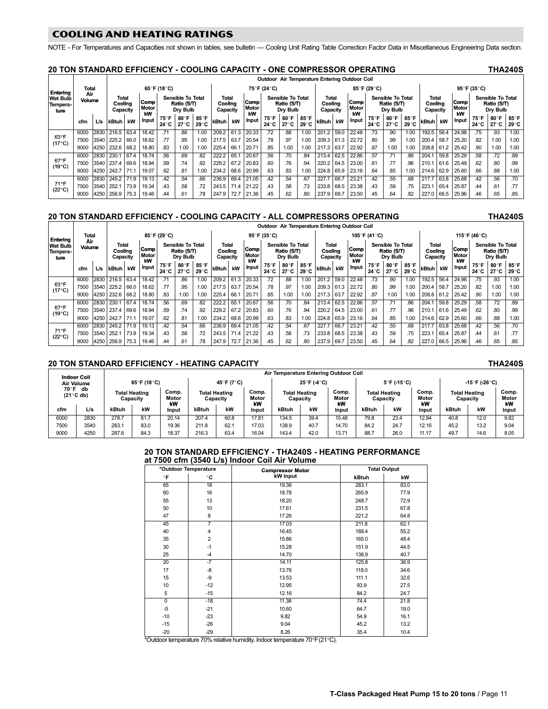<span id="page-10-0"></span>.<br>NOTE - For Temperatures and Capacities not shown in tables, see bulletin — Cooling Unit Rating Table Correction Factor Data in Miscellaneous Engineering Data section.

# 20 TON STANDARD EFFICIENCY − COOLING CAPACITY − ONE COMPRESSOR OPERATING THA240S

|                                     |               |      |                              |       |                     |              |                                                     |                      |                              |      |                            | Outdoor Air Temperature Entering Outdoor Coil |                                                     |                              |                              |      |                     |                |                                                     |                      |                                     |      |                     |                |                                                     |               |
|-------------------------------------|---------------|------|------------------------------|-------|---------------------|--------------|-----------------------------------------------------|----------------------|------------------------------|------|----------------------------|-----------------------------------------------|-----------------------------------------------------|------------------------------|------------------------------|------|---------------------|----------------|-----------------------------------------------------|----------------------|-------------------------------------|------|---------------------|----------------|-----------------------------------------------------|---------------|
| Entering                            | Total         |      |                              |       |                     | 65°F (18°C)  |                                                     |                      |                              |      |                            | 75°F (24°C)                                   |                                                     |                              |                              |      |                     | 85°F (29°C)    |                                                     |                      |                                     |      |                     | 95°F (35°C)    |                                                     |               |
| <b>Wet Bulb</b><br>Tempera-<br>ture | Air<br>Volume |      | Total<br>Coolina<br>Capacity |       | Comp<br>Motor<br>kW |              | <b>Sensible To Total</b><br>Ratio (S/T)<br>Drv Bulb |                      | Total<br>Coolina<br>Capacity |      | <b>Comp</b><br>Motor<br>kW |                                               | <b>Sensible To Total</b><br>Ratio (S/T)<br>Drv Bulb |                              | Total<br>Coolina<br>Capacity |      | Comp<br>Motor<br>kW |                | <b>Sensible To Total</b><br>Ratio (S/T)<br>Drv Bulb |                      | <b>Total</b><br>Coolina<br>Capacity |      | Comp<br>Motor<br>kW |                | <b>Sensible To Total</b><br>Ratio (S/T)<br>Drv Bulb |               |
|                                     | cfm           | L/s  | kBtuh kW                     |       | Input               | 75°F<br>24°C | 80°F<br>27°C                                        | 85°F<br>$29^\circ C$ | kBtuh                        | kW   | Input                      | 75°F<br>24°C                                  | 80°F<br>27°C                                        | $85^\circ$ F<br>$29^\circ C$ | <b>kBtuh</b>                 | kW   | <b>Input</b>        | 75°F<br>24 ° C | 80°F<br>27 °C                                       | 85°F<br>$29^\circ C$ | kBtuh                               | kW   | <b>Input</b>        | 75°F<br>24 ° C | 80°F<br>27 ° C                                      | 85°F<br>29 °C |
| $63^{\circ}F$<br>(17°C)             | 6000          | 2830 | 216.5 63.4                   |       | 18.42               | .71          | .86                                                 | 1.00                 | 209.2                        | 61.3 | 20.33                      | .72                                           | .88                                                 | 1.00                         | 201.2                        | 59.0 | 22.48               | .73            | .90                                                 | 1.00                 | 192.5                               | 56.4 | 24.98               | .75            | .93                                                 | 1.00          |
|                                     | 7500          | 3540 | 225.2 66.0                   |       | 18.62               | .77          | .95                                                 | 1.00                 | 217.5                        | 63.7 | 20.54                      | .78                                           | .97                                                 | 1.00                         | 209.3 61.3                   |      | 22.72               | .80            | .99                                                 | 1.00                 | 200.4                               | 58.7 | 25.20               | .82            | 1.00                                                | 1.00          |
|                                     | 9000          | 4250 | 232.6 68.2                   |       | 18.80               | .83          | 1.00                                                | 1.00                 | 225.4                        | 66.1 | 20.71                      | .85                                           | 1.00                                                | 1.00                         | 217.3                        | 63.7 | 22.92               | .87            | 1.00                                                | 1.00                 | 208.8 61.2 25.42                    |      |                     | .90            | 1.00                                                | 1.00          |
|                                     | 6000          | 2830 | 230.1 67.4                   |       | 18.74               | 56           | .69                                                 | .82                  | 222.2                        | 65.1 | 20.67                      | .56                                           | .70                                                 | .84                          | 213.4                        | 62.5 | 22.86               | 57             | .71                                                 | 86                   | 204.                                | 59.8 | 25.29               | .58            | .72                                                 | .89           |
| $67^{\circ}$ F<br>$(19^{\circ}C)$   | 7500          |      | 3540 237.4 69.6              |       | 18.94               | .59          | .74                                                 | .92                  | 229.2                        | 67.2 | 20.83                      | .60                                           | .76                                                 | .94                          | 220.2                        | 64.5 | 23.00               | .61            | .77                                                 | .96                  | 210.1                               |      | 61.6 25.49          | .62            | .80                                                 | .99           |
|                                     | 9000          | 4250 | 242.7 71.1                   |       | 19.07               | .62          | .81                                                 | 1.00                 | 234.2                        | 68.6 | 20.99                      | .63                                           | .83                                                 | 1.00                         | 224.8                        | 65.9 | 23.16               | .64            | .85                                                 | 1.00                 | 214.6 62.9                          |      | 25.60               | .66            | .88                                                 | 1.00          |
| $71^{\circ}F$<br>$(22^{\circ}C)$    | 6000          | 2830 | 245.2 71.9                   |       | 19.13               | .42          | .54                                                 | .66                  | 236.9                        | 69.4 | 21.05                      | .42                                           | .54                                                 | .67                          | 227.7                        | 66.7 | 23.21               | .42            | .55                                                 | 68                   | 217.7                               | 63.8 | 25.68               | .42            | .56                                                 | .70           |
|                                     | 7500          | 3540 | 252.1                        | 173.9 | 19.34               | .43          | .58                                                 | .72                  | 243.5                        | 71.4 | 21.22                      | .43                                           | .58                                                 | .73                          | 233.8                        | 68.5 | 23.38               | .43            | .59                                                 | .75                  | 223.1                               | 65.4 | 25.87               | .44            | .61                                                 | .77           |
|                                     | 9000          |      | 4250 256.9 75.3              |       | 19.46               | .44          | .61                                                 | .78                  | 247.9                        | 72.7 | 21.36                      | .45                                           | .62                                                 | .80                          | 237.9                        | 69.7 | 23.50               | .45            | .64                                                 |                      |                                     |      | 227.0 66.5 25.96    | .46            | .65                                                 | .85           |

## 20 TON STANDARD EFFICIENCY − COOLING CAPACITY − ALL COMPRESSORS OPERATING THA240S

|                                     |               |      |                              |       |                     |                                                     |              |                      |                                                     |      |       | Outdoor Air Temperature Entering Outdoor Coil       |              |                              |            |                     |       |                                                     |                      |                              |            |                     |       |                                                     |              |               |
|-------------------------------------|---------------|------|------------------------------|-------|---------------------|-----------------------------------------------------|--------------|----------------------|-----------------------------------------------------|------|-------|-----------------------------------------------------|--------------|------------------------------|------------|---------------------|-------|-----------------------------------------------------|----------------------|------------------------------|------------|---------------------|-------|-----------------------------------------------------|--------------|---------------|
| Entering                            | Total         |      |                              |       |                     | 85°F (29°C)                                         |              |                      |                                                     |      |       | 95°F (35°C)                                         |              |                              |            |                     |       | 105°F (41°C)                                        |                      |                              |            |                     |       | 115°F (46°C)                                        |              |               |
| <b>Wet Bulb</b><br>Tempera-<br>ture | Air<br>Volume |      | Total<br>Coolina<br>Capacity |       | Comp<br>Motor<br>kW | <b>Sensible To Total</b><br>Ratio (S/T)<br>Dry Bulb |              |                      | Total<br>Comp<br>Coolina<br>Motor<br>Capacity<br>kW |      |       | <b>Sensible To Total</b><br>Ratio (S/T)<br>Dry Bulb |              | Total<br>Cooling<br>Capacity |            | Comp<br>Motor<br>kW |       | <b>Sensible To Total</b><br>Ratio (S/T)<br>Dry Bulb |                      | Total<br>Cooling<br>Capacity |            | Comp<br>Motor<br>kW |       | <b>Sensible To Total</b><br>Ratio (S/T)<br>Dry Bulb |              |               |
|                                     | cfm           | L/s  | kBtuh kW                     |       | <b>Input</b>        | 75°F<br>24°C                                        | 80°F<br>27°C | 85°F<br>$29^\circ C$ | kBtuh                                               | kW   | Input | 75°F<br>24 ° C                                      | 80°F<br>27°C | 85°F<br>29 °C                | kBtuh kW   |                     | Input | 75°F<br>24 °C                                       | 80°F<br>$27^\circ C$ | 85°F<br>$29^\circ C$         | kBtuh      | kW                  | Input | 75°F<br>24 ° C                                      | 80°F<br>27°C | 85°F<br>29 °C |
| $63^{\circ}F$                       | 6000          | 2830 | 216.5                        | 63.4  | 18.42               | .71                                                 | .86          | 1.00                 | 209.2                                               | 61.3 | 20.33 | .72                                                 | .88          | 1.00                         | 201.2      | 59.0                | 22.48 | .73                                                 | .90                  | 1.00                         | 192.5      | 56.4                | 24.98 | .75                                                 | .93          | 1.00          |
| (17°C)                              | 7500          | 3540 | 225.2                        | 66.0  | 18.62               | .77                                                 | .95          | 1.00                 | 217.5                                               | 63.7 | 20.54 | .78                                                 | .97          | 1.00                         | 209.3      | 161.3               | 22.72 | .80                                                 | .99                  | 1.00                         | 200.4      | 58.7                | 25.20 | .82                                                 | 1.00         | 1.00          |
|                                     | 9000          | 4250 | 232.6 68.2                   |       | 18.80               | .83                                                 | 1.00         | 1.00                 | 225.4                                               | 66.  | 20.71 | .85                                                 | 1.00         | 1.00                         | 217.3 63.7 |                     | 22.92 | .87                                                 | 1.00                 | 1.00                         | 208.8 61.2 |                     | 25.42 | .90                                                 | 1.00         | 1.00          |
| $67^{\circ}F$                       | 6000          | 2830 | 230.1                        | 67.4  | 18.74               | .56                                                 | .69          | .82                  | 222.2                                               | 65.  | 20.67 | .56                                                 | .70          | .84                          | 213.4      | 62.5                | 22.86 | .57                                                 | .71                  | .86                          | 204.1      | 59.8                | 25.29 | .58                                                 | .72          | .89           |
| $(19^{\circ}C)$                     | 7500          | 3540 | 237.4                        | 69.6  | 18.94               | .59                                                 | .74          | .92                  | 229.2                                               | 67.2 | 20.83 | .60                                                 | .76          | .94                          | 220.2      | .164.5              | 23.00 | .61                                                 | .77                  | .96                          | 210.1      | 61.6                | 25.49 | .62                                                 | .80          | .99           |
|                                     | 9000          | 4250 | 242.7                        | 171.1 | 19.07               | .62                                                 | .81          | 1.00                 | 234.2                                               | 68.6 | 20.99 | .63                                                 | .83          | 1.00                         | 224.8 65.9 |                     | 23.16 | .64                                                 | .85                  | 1.00                         | 214.6      | 62.9                | 25.60 | .66                                                 | .88          | 1.00          |
|                                     | 6000          | 2830 | 245.2 71.9                   |       | 19.13               | .42                                                 | .54          | .66                  | 236.9                                               | 69.4 | 21.05 | .42                                                 | .54          | .67                          | 227.7      | 66.7                | 23.21 | .42                                                 | .55                  | .68                          | 217.7      | 63.8                | 25.68 | .42                                                 | .56          | .70           |
| $71^{\circ}F$<br>$(22^{\circ}C)$    | 7500          | 3540 | 252.1                        | 73.9  | 19.34               | .43                                                 | .58          | .72                  | 243.5                                               | 71.4 | 21.22 | .43                                                 | .58          | .73                          | 233.8      | 68.5                | 23.38 | .43                                                 | .59                  | .75                          | 223.1      | 65.4                | 25.87 | .44                                                 | .61          | .77           |
|                                     | 9000          | 4250 | 256.9 75.3                   |       | 19.46               | .44                                                 | .61          | .78                  | 247.9                                               | 72.7 | 21.36 | .45                                                 | .62          | .80                          | 237.9      | 69.7                | 23.50 | .45                                                 | .64                  | .82                          | 227.0      | 66.5                | 25.96 | .46                                                 | .65          | .85           |

# 20 TON STANDARD EFFICIENCY − HEATING CAPACITY THA240S

|            | <b>Indoor Coil</b>                     |                                  |             |                      |                                  |            |                      |                                  |             | Air Temperature Entering Outdoor Coil |      |                                  |                      |                                  |               |                      |
|------------|----------------------------------------|----------------------------------|-------------|----------------------|----------------------------------|------------|----------------------|----------------------------------|-------------|---------------------------------------|------|----------------------------------|----------------------|----------------------------------|---------------|----------------------|
| Air Volume |                                        |                                  | 65°F (18°C) |                      |                                  | 45°F (7°C) |                      |                                  | 25°F (-4°C) |                                       |      | $5^{\circ}$ F (-15 $^{\circ}$ C) |                      |                                  | -15°F (-26°C) |                      |
|            | $70^\circ$ F db<br>$(21^{\circ}$ C db) | <b>Total Heating</b><br>Capacity |             | Comp.<br>Motor<br>kW | <b>Total Heating</b><br>Capacity |            | Comp.<br>Motor<br>kW | <b>Total Heating</b><br>Capacity |             | Comp.<br>Motor<br>kW                  |      | <b>Total Heating</b><br>Capacity | Comp.<br>Motor<br>kW | <b>Total Heating</b><br>Capacity |               | Comp.<br>Motor<br>kW |
| cfm        | L/s                                    | kW<br>kBtuh<br>Input             |             | kBtuh                | kW                               | Input      | kBtuh                | kW                               | Input       | kBtuh                                 | kW   | Input                            | kBtuh                | kW                               | Input         |                      |
| 6000       | 2830                                   | 278.7                            | 81.7        | 20.14                | 207.4                            | 60.8       | 17.81                | 134.5                            | 39.4        | 15.48                                 | 79.8 | 23.4                             | 12.94                | 40.8                             | 12.0          | 9.82                 |
| 7500       | 3540                                   | 283.1                            | 83.0        | 19.36                | 211.8                            | 62.1       | 17.03                | 138.9                            | 40.7        | 14.70                                 | 84.2 | 24.7                             | 12.16                | 45.2                             | 13.2          | 9.04                 |
| 9000       | 4250                                   | 287.6                            | 84.3        | 18.37                | 216.3                            | 63.4       | 16.04                | 143.4                            | 42.0        | 13.71                                 | 88.7 | 26.0                             | 11.17                | 49.7                             | 14.6          | 8.05                 |

### 20 TON STANDARD EFFICIENCY − THA240S − HEATING PERFORMANCE at 7500 cfm (3540 L/s) Indoor Coil Air Volume

|                | *Outdoor Temperature | <b>Compressor Motor</b> |       | <b>Total Output</b> |
|----------------|----------------------|-------------------------|-------|---------------------|
| $\circ$ F      | °C                   | <b>kW</b> Input         | kBtuh | kW                  |
| 65             | 18                   | 19.36                   | 283.1 | 83.0                |
| 60             | 16                   | 18.78                   | 265.9 | 77.9                |
| 55             | 13                   | 18.20                   | 248.7 | 72.9                |
| 50             | 10                   | 17.61                   | 231.5 | 67.8                |
| 47             | 8                    | 17.26                   | 221.2 | 64.8                |
| 45             | 7                    | 17.03                   | 211.8 | 62.1                |
| 40             | $\overline{4}$       | 16.45                   | 188.4 | 55.2                |
| 35             | $\overline{2}$       | 15.86                   | 165.0 | 48.4                |
| 30             | $-1$                 | 15.28                   | 151.9 | 44.5                |
| 25             | $-4$                 | 14.70                   | 138.9 | 40.7                |
| 20             | $-7$                 | 14.11                   | 125.8 | 36.9                |
| 17             | $-8$                 | 13.76                   | 118.0 | 34.6                |
| 15             | -9                   | 13.53                   | 111.1 | 32.6                |
| 10             | $-12$                | 12.95                   | 93.9  | 27.5                |
| 5              | $-15$                | 12.16                   | 84.2  | 24.7                |
| $\overline{0}$ | $-18$                | 11.38                   | 74.4  | 21.8                |
| $-5$           | $-21$                | 10.60                   | 64.7  | 19.0                |
| $-10$          | $-23$                | 9.82                    | 54.9  | 16.1                |
| $-15$          | $-26$                | 9.04                    | 45.2  | 13.2                |
| $-20$          | $-29$                | 8.26<br>-------         | 35.4  | 10.4                |

\*Outdoor temperature 70% relative humidity. Indoor temperature 70°F (21°C).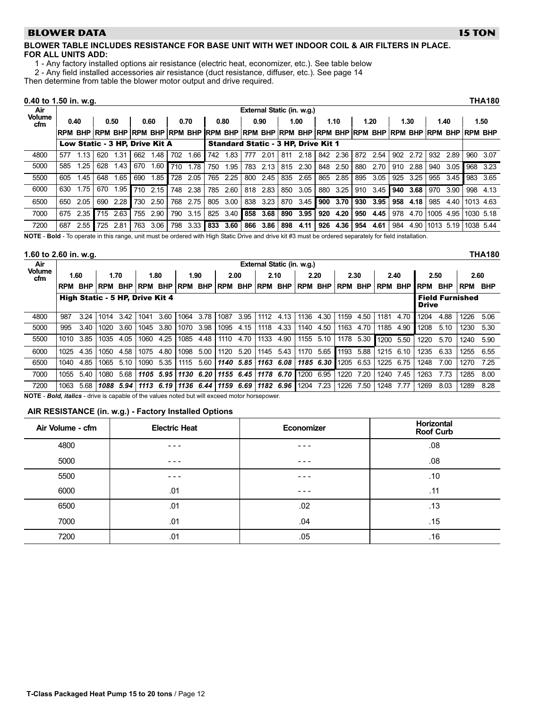# <span id="page-11-0"></span>**BLOWER DATA**

# BLOWER TABLE INCLUDES RESISTANCE FOR BASE UNIT WITH WET INDOOR COIL & AIR FILTERS IN PLACE. FOR ALL UNITS ADD:

1 − Any factory installed options air resistance (electric heat, economizer, etc.). See table below

2 − Any field installed accessories air resistance (duct resistance, diffuser, etc.). See page [14](#page-13-0)

Then determine from table the blower motor output and drive required.

| $0.40$ to 1.50 in. w.g.                                                                                                                                |     |                                |     |      |     |      |     |      |     |      |     |                                                                                                             |     |      |             |      |     |      |     |      |                |      |           | THA180    |
|--------------------------------------------------------------------------------------------------------------------------------------------------------|-----|--------------------------------|-----|------|-----|------|-----|------|-----|------|-----|-------------------------------------------------------------------------------------------------------------|-----|------|-------------|------|-----|------|-----|------|----------------|------|-----------|-----------|
| Air                                                                                                                                                    |     |                                |     |      |     |      |     |      |     |      |     | External Static (in. w.g.)                                                                                  |     |      |             |      |     |      |     |      |                |      |           |           |
| <b>Volume</b><br>cfm                                                                                                                                   |     | 0.40                           |     | 0.50 |     | 0.60 |     | 0.70 |     | 0.80 |     | 0.90                                                                                                        |     | 1.00 |             | 1.10 |     | 1.20 |     | 1.30 | 1.40           |      |           | 1.50      |
|                                                                                                                                                        |     |                                |     |      |     |      |     |      |     |      |     | irpm bhp ìrpm bhp ìrpm bhp ìrpm bhp ìrpm bhp ìrpm bhp ìrpm bhp ìrpm bhp ìrpm bhp ìrpm bhp ìrpm bhp ìrpm bhp |     |      |             |      |     |      |     |      |                |      |           |           |
|                                                                                                                                                        |     | Low Static - 3 HP. Drive Kit A |     |      |     |      |     |      |     |      |     | <b>Standard Static - 3 HP. Drive Kit 1</b>                                                                  |     |      |             |      |     |      |     |      |                |      |           |           |
| 4800                                                                                                                                                   | 577 | 1.13                           | 620 | 1.31 | 662 | 1.48 | 702 | 1.66 | 742 | 1.83 | 777 | 2.01                                                                                                        | 811 | 2.18 | 842         | 2.36 | 872 | 2.54 | 902 | 2.72 | 932            | 2.89 | 960       | 3.07      |
| 5000                                                                                                                                                   | 585 | 1.25                           | 628 | 1.43 | 670 | 1.60 | 710 | 1.78 | 750 | 1.95 | 783 | 2.13                                                                                                        | 815 | 2.30 | 848         | 2.50 | 880 | 2.70 | 910 | 2.88 | 940            | 3.05 |           | 968 3.23  |
| 5500                                                                                                                                                   | 605 | 1.45                           | 648 | 1.65 | 690 | 1.85 | 728 | 2.05 | 765 | 2.25 | 800 | 2.45                                                                                                        | 835 | 2.65 | 865         | 2.85 | 895 | 3.05 | 925 | 3.25 | 955            | 3.45 | 983       | 3.65      |
| 6000                                                                                                                                                   | 630 | 1.75                           | 670 | 1.95 | 710 | 2.15 | 748 | 2.38 | 785 | 2.60 | 818 | 2.83                                                                                                        | 850 | 3.05 | 880         | 3.25 | 910 | 3.45 | 940 | 3.68 | 970            | 3.90 | 998       | 4.13      |
| 6500                                                                                                                                                   | 650 | 2.05                           | 690 | 2.28 | 730 | 2.50 | 768 | 2.75 | 805 | 3.00 |     | 838 3.23                                                                                                    | 870 | 3.45 | <b>1900</b> | 3.70 | 930 | 3.95 | 958 | 4.18 | 985            | 4.40 | 1013 4.63 |           |
| 7000                                                                                                                                                   | 675 | 2.35                           | 715 | 2.63 | 755 | 2.90 | 790 | 3.15 | 825 | 3.40 | 858 | 3.68                                                                                                        | 890 | 3.95 | 920         | 4.20 | 950 | 4.45 | 978 |      | 4.70 1005 4.95 |      |           | 1030 5.18 |
| 7200                                                                                                                                                   | 687 | 2.55                           | 725 | 2.81 | 763 | 3.06 | 798 | 3.33 | 833 | 3.60 |     | 866 3.86                                                                                                    | 898 | 4.11 | 926         | 4.36 | 954 | 4.61 | 984 |      | 4.90 1013 5.19 |      |           | 1038 5.44 |
| NOTE - Rold - To operate in this range, unit must be ordered with High Static Drive and drive kit #3 must be ordered senarately for field installation |     |                                |     |      |     |      |     |      |     |      |     |                                                                                                             |     |      |             |      |     |      |     |      |                |      |           |           |

NOTE - Bold - To operate in this range, unit must be ordered with High Static Drive and drive kit #3 must be ordered separately for field insta

# 1.60 to 2.60 in. w.g. THA180

| Air                  |            | External Static (in. w.g.) |                                 |           |                    |           |                            |             |           |           |                     |           |                    |           |                 |      |      |           |              |            |                        |            |
|----------------------|------------|----------------------------|---------------------------------|-----------|--------------------|-----------|----------------------------|-------------|-----------|-----------|---------------------|-----------|--------------------|-----------|-----------------|------|------|-----------|--------------|------------|------------------------|------------|
| <b>Volume</b><br>cfm |            | 1.60                       | 1.70                            |           |                    | 1.80      | 1.90                       |             |           | 2.00      | 2.10                |           | 2.20               |           | 2.30            |      |      | 2.40      | 2.50         |            | 2.60                   |            |
|                      | <b>RPM</b> | <b>BHP</b>                 | <b>RPM</b>                      |           | <b>BHP RPM BHP</b> |           | <b>RPM BHP RPM BHP RPM</b> |             |           |           |                     |           | <b>BHP RPM BHP</b> |           | RPM BHP RPM BHP |      |      |           | <b>RPM</b>   | <b>BHP</b> | <b>RPM</b>             | <b>BHP</b> |
|                      |            |                            | High Static - 5 HP, Drive Kit 4 |           |                    |           |                            |             |           |           |                     |           |                    |           |                 |      |      |           | <b>Drive</b> |            | <b>Field Furnished</b> |            |
| 4800                 | 987        | 3.24                       | 1014                            | 3.42      | 1041               | 3.60      | 1064                       | 3.78        | 1087      | 3.95      | 1112                | 4.13      | 1136               | 4.30      | 1159            | 4.50 | 1181 | 4.70      | 1204         | 4.88       | 1226                   | 5.06       |
| 5000                 | 995        | 3.40                       | 1020                            | 3.60      | 1045               | 3.80      | 1070                       | 3.98        | 1095      | 4.15      | 1118                | 4.33      | 1140               | 4.50      | 1163            | 4.70 | 1185 | 4.90      | 1208         | 5.10       | 1230                   | 5.30       |
| 5500                 | 1010       | 3.85                       | 1035                            | 4.05      | 1060               | 4.25      | 1085                       | 4.48        | 1110      | 4.70      | 1133                | 4.90      | 1155               | 5.10      | 1178            | 5.30 | 1200 | 5.50      | 1220         | 5.70       | 1240                   | 5.90       |
| 6000                 | 1025       | 4.35                       | 1050                            | 4.58      | 1075               | 4.80      | 1098                       | 5.00        | 1120      | 5.20      | 1145                | 5.43      | 1170               | 5.65      | 1193            | 5.88 |      | 1215 6.10 | 1235         | 6.33       | 1255                   | 6.55       |
| 6500                 | 1040       | 4.85                       | 1065                            | 5.10      | 1090               | 5.35      | 1115                       | 5.60        |           | 1140 5.85 |                     | 1163 6.08 |                    | 1185 6.30 | 1205            | 6.53 | 1225 | 6.75      | 1248         | 7.00       | 1270                   | 7.25       |
| 7000                 | 1055       | 5.40                       | 1080                            | 5.68      |                    | 1105 5.95 |                            | $1130$ 6.20 |           |           | 1155 6.45 1178 6.70 |           | 1200               | 6.95      | 1220            | 7.20 | 1240 | 7.45      | 1263         | 7.73       | 1285                   | 8.00       |
| 7200                 | 1063       | 5.68                       |                                 | 1088 5.94 |                    | 1113 6.19 |                            | $1136$ 6.44 | 1159 6.69 |           |                     | 1182 6.96 | 1204               | 7.23      | 1226            | 7.50 | 1248 | 7.77      | 1269         | 8.03       | 1289                   | 8.28       |
|                      |            |                            |                                 | $\cdots$  |                    |           |                            |             |           |           |                     |           |                    |           |                 |      |      |           |              |            |                        |            |

NOTE - Bold, italics - drive is capable of the values noted but will exceed motor horsepower.

## AIR RESISTANCE (in. w.g.) − Factory Installed Options

| Air Volume - cfm | <b>Electric Heat</b> | Economizer | Horizontal<br><b>Roof Curb</b> |
|------------------|----------------------|------------|--------------------------------|
| 4800             | $- - -$              | $- - -$    | .08                            |
| 5000             | $  -$                | $- - -$    | .08                            |
| 5500             | $  -$                | $- - -$    | .10                            |
| 6000             | .01                  | $- - -$    | .11                            |
| 6500             | .01                  | .02        | .13                            |
| 7000             | .01                  | .04        | .15                            |
| 7200             | .01                  | .05        | .16                            |

**15 TON**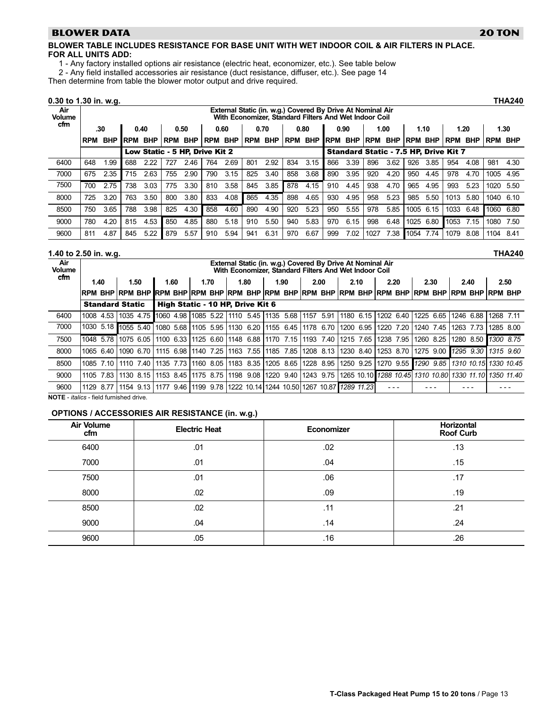# **BLOWER DATA**

# BLOWER TABLE INCLUDES RESISTANCE FOR BASE UNIT WITH WET INDOOR COIL & AIR FILTERS IN PLACE. FOR ALL UNITS ADD:

- 1 − Any factory installed options air resistance (electric heat, economizer, etc.). See table below
- 2 − Any field installed accessories air resistance (duct resistance, diffuser, etc.). See page [14](#page-13-0)

Then determine from table the blower motor output and drive required.

# 0.30 to 1.30 in. w.g. THA240

| Air<br><b>Volume</b> |            |            |            |            |            |                                |            |            |            |            |            | External Static (in. w.g.) Covered By Drive At Nominal Air<br>With Economizer. Standard Filters And Wet Indoor Coil |             |                                              |            |            |            |            |            |            |                |      |
|----------------------|------------|------------|------------|------------|------------|--------------------------------|------------|------------|------------|------------|------------|---------------------------------------------------------------------------------------------------------------------|-------------|----------------------------------------------|------------|------------|------------|------------|------------|------------|----------------|------|
| cfm                  |            | .30        |            | 0.40       |            | 0.50                           |            | 0.60       |            | 0.70       |            | 0.80                                                                                                                |             | 0.90                                         |            | 1.00       |            | 1.10       |            | 1.20       |                | 1.30 |
|                      | <b>RPM</b> | <b>BHP</b> | <b>RPM</b> | <b>BHP</b> | <b>RPM</b> | <b>BHP</b>                     | <b>RPM</b> | <b>BHP</b> | <b>RPM</b> | <b>BHP</b> | <b>RPM</b> | <b>BHP</b>                                                                                                          | <b>IRPM</b> | <b>BHP</b>                                   | <b>RPM</b> | <b>BHP</b> | <b>RPM</b> | <b>BHP</b> | <b>RPM</b> | <b>BHP</b> | <b>RPM BHP</b> |      |
|                      |            |            |            |            |            | Low Static - 5 HP. Drive Kit 2 |            |            |            |            |            |                                                                                                                     |             | <b>Standard Static - 7.5 HP, Drive Kit 7</b> |            |            |            |            |            |            |                |      |
| 6400                 | 648        | 1.99       | 688        | 2.22       | 727        | 2.46                           | 764        | 2.69       | 801        | 2.92       | 834        | 3.15                                                                                                                | 866         | 3.39                                         | 896        | 3.62       | 926        | 3.85       | 954        | 4.08       | 981            | 4.30 |
| 7000                 | 675        | 2.35       | 715        | 2.63       | 755        | 2.90                           | 790        | 3.15       | 825        | 3.40       | 858        | 3.68                                                                                                                | 890         | 3.95                                         | 920        | 4.20       | 950        | 4.45       | 978        | 4.70       | 1005           | 4.95 |
| 7500                 | 700        | 2.75       | 738        | 3.03       | 775        | 3.30                           | 810        | 3.58       | 845        | 3.85       | 878        | 4.15                                                                                                                | 910         | 4.45                                         | 938        | 4.70       | 965        | 4.95       | 993        | 5.23       | 1020           | 5.50 |
| 8000                 | 725        | 3.20       | 763        | 3.50       | 800        | 3.80                           | 833        | 4.08       | 865        | 4.35       | 898        | 4.65                                                                                                                | 930         | 4.95                                         | 958        | 5.23       | 985        | 5.50       | 1013       | 5.80       | 1040           | 6.10 |
| 8500                 | 750        | 3.65       | 788        | 3.98       | 825        | 4.30                           | 858        | 4.60       | 890        | 4.90       | 920        | 5.23                                                                                                                | 950         | 5.55                                         | 978        | 5.85       | 1005       | 6.15       | 1033       | 6.48       | 1060           | 6.80 |
| 9000                 | 780        | 4.20       | 815        | 4.53       | 850        | 4.85                           | 880        | 5.18       | 910        | 5.50       | 940        | 5.83                                                                                                                | 970         | 6.15                                         | 998        | 6.48       | 1025       | 6.80       | 1053       | 7.15       | 1080           | 7.50 |
| 9600                 | 811        | 4.87       | 845        | 5.22       | 879        | 5.57                           | 910        | 5.94       | 941        | 6.31       | 970        | 6.67                                                                                                                | 999         | 7.02                                         | 1027       | 7.38       | 1054       | 7.74       | 1079       | 8.08       | 1104           | 8.41 |

# 1.40 to 2.50 in. w.g. THA240

| Air<br><b>Volume</b> | External Static (in. w.g.) Covered By Drive At Nominal Air<br>With Economizer, Standard Filters And Wet Indoor Coil |                                                   |      |      |                                  |                                                                             |      |                               |                     |                                                                                                                                          |                       |              |  |
|----------------------|---------------------------------------------------------------------------------------------------------------------|---------------------------------------------------|------|------|----------------------------------|-----------------------------------------------------------------------------|------|-------------------------------|---------------------|------------------------------------------------------------------------------------------------------------------------------------------|-----------------------|--------------|--|
| cfm                  | 1.40                                                                                                                | 1.50                                              | 1.60 | 1.70 | 1.80                             | 1.90                                                                        | 2.00 | 2.10                          | 2.20                | 2.30                                                                                                                                     | 2.40                  | 2.50         |  |
|                      |                                                                                                                     |                                                   |      |      |                                  |                                                                             |      |                               |                     | irpm bhp ìrpm bhp ìrpm bhp ìrpm bhp ìrpm bhp ìrpm bhp ìrpm bhp ìrpm bhp ìrpm bhp ìrpm bhp ìrpm bhp ìrpm bhp ì                            |                       |              |  |
|                      | <b>Standard Static</b>                                                                                              |                                                   |      |      | High Static - 10 HP. Drive Kit 6 |                                                                             |      |                               |                     |                                                                                                                                          |                       |              |  |
| 6400                 |                                                                                                                     |                                                   |      |      |                                  | 1008 4.53 1035 4.75 1060 4.98 1085 5.22 1110 5.45 1135 5.68 11157 5.91      |      | 1180 6.15 1202 6.40 1225 6.65 |                     |                                                                                                                                          | 1246 6.88             | 1268<br>7.11 |  |
| 7000                 |                                                                                                                     | 1030 5.18 1055 5.40 1080 5.68 1105 5.95 1130 6.20 |      |      |                                  | 1155 6.45 1178 6.70                                                         |      | 1200 6.95                     | 1220 7.20           | 1240 7.45                                                                                                                                | 1263 7.73             | 1285 8.00    |  |
| 7500                 |                                                                                                                     |                                                   |      |      |                                  | 1048 5.78 11075 6.05 11100 6.33 11125 6.60 11148 6.88 11170 7.15 11193 7.40 |      | 1215 7.65                     | 1238 7.95 1260 8.25 |                                                                                                                                          | 1280 8.50 1300 8.75   |              |  |
| 8000                 |                                                                                                                     | 1065 6.40 1090 6.70                               |      |      | 11115 6.98 1140 7.25 1163 7.55   |                                                                             |      |                               |                     | 1185 7.85 1208 8.13 1230 8.40 1253 8.70 1275 9.00 1295 9.30                                                                              |                       | 1315 9.60    |  |
| 8500                 | 1085 7.10                                                                                                           | 1110 7.40                                         |      |      |                                  | 1135 7.73   1160 8.05   1183 8.35   1205 8.65   1228 8.95   1250 9.25       |      |                               |                     | 1270 9.55 1290 9.85                                                                                                                      | 1310 10.15 1330 10.45 |              |  |
| 9000                 | 1105 7.83 L                                                                                                         |                                                   |      |      |                                  |                                                                             |      |                               |                     | l 1130 8.15   1153 8.45   1175 8.75   1198 9.08   1220 9.40   1243 9.75   1265 10.10   1288 10.45   1310 10.80   1330 11.10   1350 11.40 |                       |              |  |
| 9600                 | 1129 8.77                                                                                                           |                                                   |      |      |                                  | 1154 9.13 1177 9.46 1199 9.78 1222 10.14 1244 10.50 1267 10.87 1289 11.23   |      |                               |                     |                                                                                                                                          |                       |              |  |
|                      |                                                                                                                     |                                                   |      |      |                                  |                                                                             |      |                               |                     |                                                                                                                                          |                       |              |  |

NOTE - *italics* - field furnished drive.

# OPTIONS / ACCESSORIES AIR RESISTANCE (in. w.g.)

|                          | $\overline{\phantom{a}}$ |            |                                |
|--------------------------|--------------------------|------------|--------------------------------|
| <b>Air Volume</b><br>cfm | <b>Electric Heat</b>     | Economizer | Horizontal<br><b>Roof Curb</b> |
| 6400                     | .01                      | .02        | .13                            |
| 7000                     | .01                      | .04        | .15                            |
| 7500                     | .01                      | .06        | .17                            |
| 8000                     | .02                      | .09        | .19                            |
| 8500                     | .02                      | .11        | .21                            |
| 9000                     | .04                      | .14        | .24                            |
| 9600                     | .05                      | .16        | .26                            |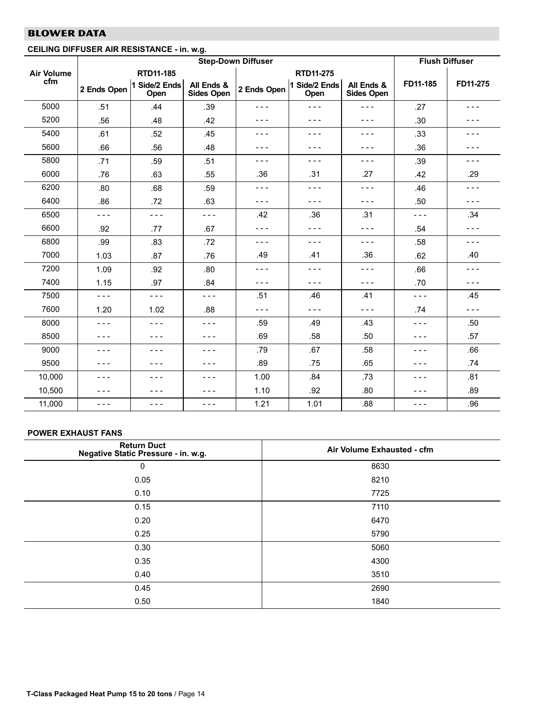## <span id="page-13-0"></span> $\overline{\phantom{a}}$ CEILING DIFFUSER AIR RESISTANCE − in. w.g.

|                   |             |                       |                                 | <b>Step-Down Diffuser</b> |                       |                                 | <b>Flush Diffuser</b> |          |
|-------------------|-------------|-----------------------|---------------------------------|---------------------------|-----------------------|---------------------------------|-----------------------|----------|
| <b>Air Volume</b> |             | RTD11-185             |                                 |                           | RTD11-275             |                                 |                       |          |
| cfm               | 2 Ends Open | 1 Side/2 Ends<br>Open | All Ends &<br><b>Sides Open</b> | 2 Ends Open               | 1 Side/2 Ends<br>Open | All Ends &<br><b>Sides Open</b> | FD11-185              | FD11-275 |
| 5000              | .51         | .44                   | .39                             | - - -                     | - - -                 | $- - -$                         | .27                   | $- - -$  |
| 5200              | .56         | .48                   | .42                             | - - -                     | ---                   | - - -                           | .30                   | - - -    |
| 5400              | .61         | .52                   | .45                             | $- - -$                   | - - -                 | - - -                           | .33                   | $  -$    |
| 5600              | .66         | .56                   | .48                             | - - -                     | $  -$                 | - - -                           | .36                   | - - -    |
| 5800              | .71         | .59                   | .51                             | $- - -$                   | - - -                 | - - -                           | .39                   | $- - -$  |
| 6000              | .76         | .63                   | .55                             | .36                       | .31                   | .27                             | .42                   | .29      |
| 6200              | .80         | .68                   | .59                             | ---                       | $- - -$               | - - -                           | .46                   | $- - -$  |
| 6400              | .86         | .72                   | .63                             | $- - -$                   | $- - -$               | $- - -$                         | .50                   | $- - -$  |
| 6500              | $- - -$     | $- - -$               | $- - -$                         | .42                       | .36                   | .31                             | $- - -$               | .34      |
| 6600              | .92         | .77                   | .67                             | ---                       | ---                   | - - -                           | .54                   | - - -    |
| 6800              | .99         | .83                   | .72                             | $- - -$                   | $- - -$               | - - -                           | .58                   | $- - -$  |
| 7000              | 1.03        | .87                   | .76                             | .49                       | .41                   | .36                             | .62                   | .40      |
| 7200              | 1.09        | .92                   | .80                             | - - -                     | - - -                 | - - -                           | .66                   | $- - -$  |
| 7400              | 1.15        | .97                   | .84                             | $- - -$                   | - - -                 | - - -                           | .70                   | $- - -$  |
| 7500              | $- - -$     | $- - -$               | $- - -$                         | .51                       | .46                   | .41                             | - - -                 | .45      |
| 7600              | 1.20        | 1.02                  | .88                             | $- - -$                   | - - -                 | - - -                           | .74                   | $- - -$  |
| 8000              | $- - -$     | $- - -$               | $- - -$                         | .59                       | .49                   | .43                             | $- - -$               | .50      |
| 8500              | $- - -$     | $- - -$               | $- - -$                         | .69                       | .58                   | .50                             | ---                   | .57      |
| 9000              | $- - -$     | $- - -$               | $- - -$                         | .79                       | .67                   | .58                             | ---                   | .66      |
| 9500              | $- - -$     | $- - -$               | $- - -$                         | .89                       | .75                   | .65                             | ---                   | .74      |
| 10,000            | $- - -$     | $- - -$               | $- - -$                         | 1.00                      | .84                   | .73                             | ---                   | .81      |
| 10,500            | $- - -$     | ---                   | - - -                           | 1.10                      | .92                   | .80                             | - - -                 | .89      |
| 11,000            | $- - -$     | $- - -$               | $- - -$                         | 1.21                      | 1.01                  | .88                             | - - -                 | .96      |

# POWER EXHAUST FANS

| <b>Return Duct</b><br>Negative Static Pressure - in. w.g. | Air Volume Exhausted - cfm |
|-----------------------------------------------------------|----------------------------|
| 0                                                         | 8630                       |
| 0.05                                                      | 8210                       |
| 0.10                                                      | 7725                       |
| 0.15                                                      | 7110                       |
| 0.20                                                      | 6470                       |
| 0.25                                                      | 5790                       |
| 0.30                                                      | 5060                       |
| 0.35                                                      | 4300                       |
| 0.40                                                      | 3510                       |
| 0.45                                                      | 2690                       |
| 0.50                                                      | 1840                       |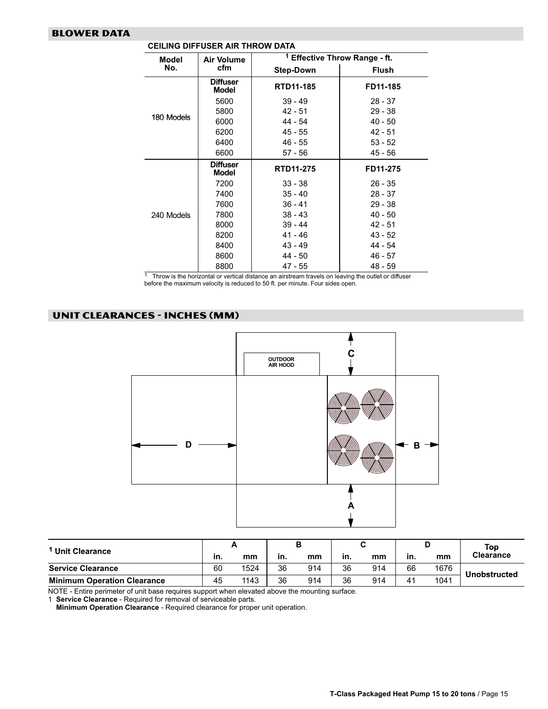<span id="page-14-0"></span>

| Model      | Air Volume                      |                  | <sup>1</sup> Effective Throw Range - ft. |
|------------|---------------------------------|------------------|------------------------------------------|
| No.        | cfm                             | <b>Step-Down</b> | <b>Flush</b>                             |
|            | <b>Diffuser</b><br><b>Model</b> | RTD11-185        | FD11-185                                 |
|            | 5600                            | $39 - 49$        | $28 - 37$                                |
|            | 5800                            | $42 - 51$        | $29 - 38$                                |
| 180 Models | 6000                            | 44 - 54          | $40 - 50$                                |
|            | 6200                            | $45 - 55$        | $42 - 51$                                |
|            | 6400                            | $46 - 55$        | $53 - 52$                                |
|            | 6600                            | 57 - 56          | 45 - 56                                  |
|            | <b>Diffuser</b><br>Model        | <b>RTD11-275</b> | FD11-275                                 |
|            | 7200                            | $33 - 38$        | $26 - 35$                                |
|            | 7400                            | $35 - 40$        | $28 - 37$                                |
|            | 7600                            | $36 - 41$        | $29 - 38$                                |
| 240 Models | 7800                            | $38 - 43$        | $40 - 50$                                |
|            | 8000                            | $39 - 44$        | $42 - 51$                                |
|            | 8200                            | $41 - 46$        | $43 - 52$                                |
|            | 8400                            | $43 - 49$        | 44 - 54                                  |
|            | 8600                            | 44 - 50          | 46 - 57                                  |
|            | 8800                            | $47 - 55$        | 48 - 59                                  |

CEILING DIFFUSER AIR THROW DATA

 $1$  Throw is the horizontal or vertical distance an airstream travels on leaving the outlet or diffuser before the maximum velocity is reduced to 50 ft. per minute. Four sides open.

# UNIT CLEARANCES − INCHES (MM)



|                                    |     |      |     |     |     |     |     |      | Top              |
|------------------------------------|-----|------|-----|-----|-----|-----|-----|------|------------------|
| Unit Clearance                     | in. | mm   | in. | mm  | in. | mm  | in. | mm   | <b>Clearance</b> |
| <b>Service Clearance</b>           | 60  | 1524 | 36  | 914 | 36  | 914 | 66  | 1676 | Unobstructed     |
| <b>Minimum Operation Clearance</b> | 45  | 1143 | 36  | 914 | 36  | 914 | 41  | 1041 |                  |

NOTE − Entire perimeter of unit base requires support when elevated above the mounting surface.

1 Service Clearance − Required for removal of serviceable parts.

Minimum Operation Clearance − Required clearance for proper unit operation.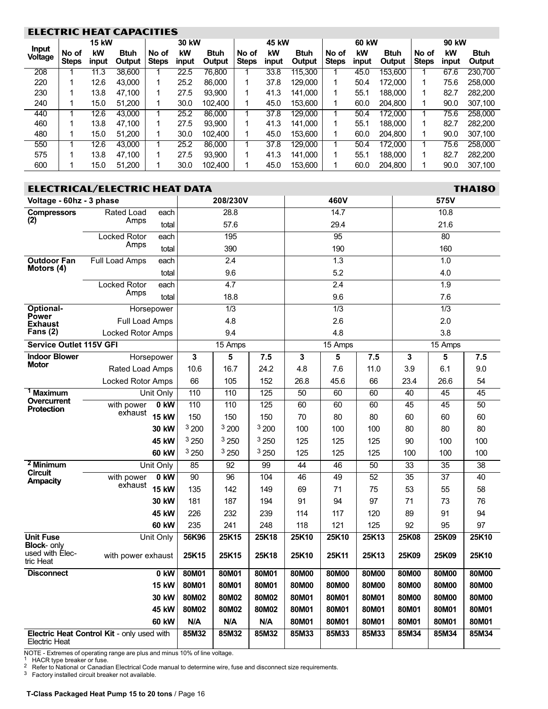### <span id="page-15-0"></span>**ELECTRIC HEAT CAPACITIES** 15 kW 30 kW 15 kW 30 kW 45 kW 60 kW 90 kW Input kW kW kW kW kW Voltage No of Btuh No of Btuh No of Btuh No of Btuh No of Btuh Steps Steps **Steps Output** Steps **Output Steps Output** input input input **Output** input **Output** input 208 1 11.3 38,600 1 22.5 76,800 1 33.8 115,300 1 45.0 153,600 1 67.6 230,700 220 1 12.6 43,000 1 25.2 86,000 1 37.8 129,000 1 50.4 172,000 1 75.6 258,000 230 1 13.8 47,100 1 27.5 93,900 1 41.3 141,000 1 55.1 188,000 1 82.7 282,200 240 1 15.0 51,200 1 30.0 102,400 1 45.0 153,600 1 60.0 204,800 1 90.0 307,100 440 1 12.6 43,000 1 25.2 86,000 1 37.8 129,000 1 50.4 172,000 1 75.6 258,000 460 1 13.8 47,100 1 27.5 93,900 1 41.3 141,000 1 55.1 188,000 1 82.7 282,200 480 1 15.0 51,200 1 30.0 102,400 1 45.0 153,600 1 60.0 204,800 1 90.0 307,100 550 1 12.6 43,000 1 25.2 86,000 1 37.8 129,000 1 50.4 172,000 1 75.6 258,000 575 1 13.8 47,100 1 27.5 93,900 1 41.3 141,000 1 55.1 188,000 1 82.7 282,200 600 1 15.0 51,200 1 30.0 102,400 1 45.0 153,600 1 60.0 204,800 1 90.0 307,100

|                                       | <b>ELECTRICAL/ELECTRIC HEAT DATA</b>       |              |       |                  |       |       |                  |       |                 |                  | <b>THA180</b> |
|---------------------------------------|--------------------------------------------|--------------|-------|------------------|-------|-------|------------------|-------|-----------------|------------------|---------------|
| Voltage - 60hz - 3 phase              |                                            |              |       | 208/230V         |       |       | 460V             |       |                 | 575V             |               |
| <b>Compressors</b>                    | Rated Load                                 | each         |       | 28.8             |       |       | 14.7             |       |                 | 10.8             |               |
| (2)                                   | Amps                                       | total        |       | 57.6             |       |       | 29.4             |       |                 | 21.6             |               |
|                                       | <b>Locked Rotor</b>                        | each         |       | 195              |       |       | 95               |       |                 | 80               |               |
|                                       | Amps                                       | total        |       | 390              |       |       | 190              |       |                 | 160              |               |
| <b>Outdoor Fan</b>                    | <b>Full Load Amps</b>                      | each         |       | 2.4              |       |       | $\overline{1.3}$ |       |                 | 1.0              |               |
| Motors (4)                            |                                            | total        |       | 9.6              |       |       | 5.2              |       |                 | 4.0              |               |
|                                       | Locked Rotor                               | each         |       | 4.7              |       |       | 2.4              |       |                 | 1.9              |               |
|                                       | Amps                                       | total        |       | 18.8             |       |       | 9.6              |       |                 | 7.6              |               |
| Optional-                             | Horsepower                                 |              |       | $\overline{1/3}$ |       |       | $\overline{1/3}$ |       |                 | $\overline{1/3}$ |               |
| <b>Power</b><br><b>Exhaust</b>        | Full Load Amps                             |              |       | 4.8              |       |       | 2.6              |       |                 | 2.0              |               |
| Fans $(2)$                            | Locked Rotor Amps                          |              |       | 9.4              |       |       | 4.8              |       |                 | 3.8              |               |
| <b>Service Outlet 115V GFI</b>        |                                            |              |       | 15 Amps          |       |       | 15 Amps          |       |                 | $15$ Amps        |               |
| <b>Indoor Blower</b>                  | Horsepower                                 |              | 3     | 5                | 7.5   | 3     | 5                | 7.5   | 3               | 5                | 7.5           |
| <b>Motor</b>                          | Rated Load Amps                            |              | 10.6  | 16.7             | 24.2  | 4.8   | 7.6              | 11.0  | 3.9             | 6.1              | 9.0           |
|                                       | Locked Rotor Amps                          |              | 66    | 105              | 152   | 26.8  | 45.6             | 66    | 23.4            | 26.6             | 54            |
| <sup>1</sup> Maximum                  |                                            | Unit Only    | 110   | 110              | 125   | 50    | 60               | 60    | 40              | 45               | 45            |
| Overcurrent<br><b>Protection</b>      | with power                                 | 0 kW         | 110   | 110              | 125   | 60    | 60               | 60    | 45              | 45               | 50            |
|                                       | exhaust                                    | <b>15 kW</b> | 150   | 150              | 150   | 70    | 80               | 80    | 60              | 60               | 60            |
|                                       |                                            | 30 kW        | 3200  | 3200             | 3200  | 100   | 100              | 100   | 80              | 80               | 80            |
|                                       |                                            | 45 kW        | 3250  | 3250             | 3250  | 125   | 125              | 125   | 90              | 100              | 100           |
|                                       |                                            | 60 kW        | 3250  | 3250             | 3250  | 125   | 125              | 125   | 100             | 100              | 100           |
| <sup>2</sup> Minimum                  |                                            | Unit Only    | 85    | 92               | 99    | 44    | 46               | 50    | 33              | 35               | 38            |
| <b>Circuit</b><br><b>Ampacity</b>     | with power                                 | 0 kW         | 90    | 96               | 104   | 46    | 49               | 52    | $\overline{35}$ | 37               | 40            |
|                                       | exhaust                                    | <b>15 kW</b> | 135   | 142              | 149   | 69    | 71               | 75    | 53              | 55               | 58            |
|                                       |                                            | 30 kW        | 181   | 187              | 194   | 91    | 94               | 97    | 71              | 73               | 76            |
|                                       |                                            | 45 kW        | 226   | 232              | 239   | 114   | 117              | 120   | 89              | 91               | 94            |
|                                       |                                            | 60 kW        | 235   | 241              | 248   | 118   | 121              | 125   | 92              | 95               | 97            |
| <b>Unit Fuse</b>                      |                                            | Unit Only    | 56K96 | 25K15            | 25K18 | 25K10 | 25K10            | 25K13 | 25K08           | 25K09            | 25K10         |
| <b>Block- only</b><br>used with Elec- | with power exhaust                         |              | 25K15 | 25K15            | 25K18 | 25K10 | 25K11            | 25K13 | 25K09           | 25K09            | 25K10         |
| tric Heat                             |                                            |              |       |                  |       |       |                  |       |                 |                  |               |
| <b>Disconnect</b>                     |                                            | 0 kW         | 80M01 | 80M01            | 80M01 | 80M00 | 80M00            | 80M00 | 80M00           | 80M00            | 80M00         |
|                                       |                                            | <b>15 kW</b> | 80M01 | 80M01            | 80M01 | 80M00 | 80M00            | 80M00 | 80M00           | 80M00            | 80M00         |
|                                       |                                            | 30 kW        | 80M02 | 80M02            | 80M02 | 80M01 | 80M01            | 80M01 | 80M00           | 80M00            | 80M00         |
|                                       |                                            | 45 kW        | 80M02 | 80M02            | 80M02 | 80M01 | 80M01            | 80M01 | 80M01           | 80M01            | 80M01         |
|                                       |                                            | 60 kW        | N/A   | N/A              | N/A   | 80M01 | 80M01            | 80M01 | 80M01           | 80M01            | 80M01         |
| Electric Heat                         | Electric Heat Control Kit - only used with |              | 85M32 | 85M32            | 85M32 | 85M33 | 85M33            | 85M33 | 85M34           | 85M34            | 85M34         |

NOTE− Extremes of operating range are plus and minus 10% of line voltage.<br>1 HACR type breaker or fuse.

<sup>2</sup> Refer to National or Canadian Electrical Code manual to determine wire, fuse and disconnect size requirements.

3 Factory installed circuit breaker not available.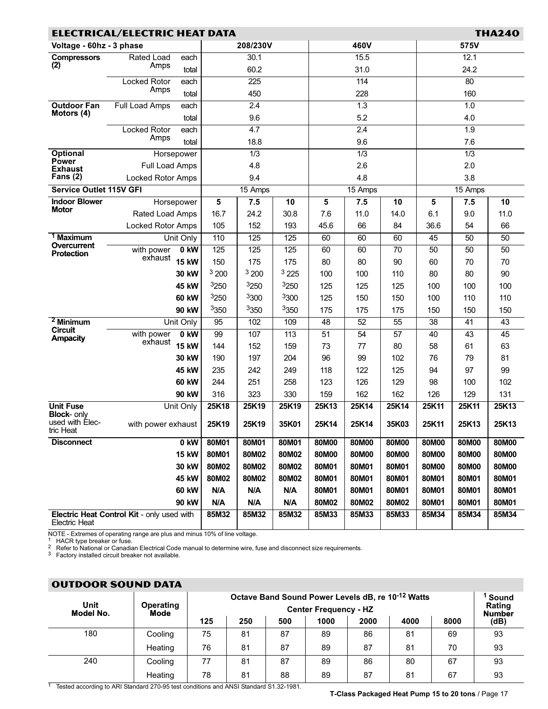<span id="page-16-0"></span>

| <b>ELECTRICAL/ELECTRIC HEAT DATA</b><br><b>THA240</b>              |                                             |              |                         |                  |             |                         |                  |                 |                 |                  |                 |  |
|--------------------------------------------------------------------|---------------------------------------------|--------------|-------------------------|------------------|-------------|-------------------------|------------------|-----------------|-----------------|------------------|-----------------|--|
| Voltage - 60hz - 3 phase                                           |                                             |              | 208/230V                |                  |             | 460V                    |                  |                 | 575V            |                  |                 |  |
| <b>Compressors</b>                                                 | Rated Load<br>each                          |              |                         | 30.1             |             | 15.5                    |                  |                 | 12.1            |                  |                 |  |
| (2)                                                                | Amps                                        | total        | 60.2                    |                  | 31.0        |                         |                  | 24.2            |                 |                  |                 |  |
|                                                                    | Locked Rotor                                | each         |                         | 225              |             | 114                     |                  |                 | $\overline{80}$ |                  |                 |  |
|                                                                    | Amps                                        | total        |                         | 450              |             | 228                     |                  |                 | 160             |                  |                 |  |
| <b>Outdoor Fan</b><br>Motors (4)                                   | <b>Full Load Amps</b>                       | each         |                         | $\overline{2.4}$ |             | 1.3                     |                  |                 | 1.0             |                  |                 |  |
|                                                                    |                                             | total        |                         | 9.6              |             | 5.2                     |                  |                 | 4.0             |                  |                 |  |
|                                                                    | Locked Rotor<br>Amps                        | each         |                         | 4.7              |             |                         | 2.4              |                 |                 | 1.9              |                 |  |
|                                                                    |                                             | total        |                         | 18.8             |             |                         | 9.6              |                 | 7.6             |                  |                 |  |
| <b>Optional</b><br>Power                                           |                                             | Horsepower   |                         | $\overline{1/3}$ |             |                         | $\overline{1/3}$ |                 |                 | $\overline{1/3}$ |                 |  |
| Exhaust                                                            | Full Load Amps                              |              |                         | 4.8              |             |                         | 2.6              |                 |                 | 2.0              |                 |  |
| Fans $(2)$                                                         | Locked Rotor Amps                           |              |                         | 9.4              |             |                         | 4.8              |                 | 3.8             |                  |                 |  |
| <b>Service Outlet 115V GFI</b>                                     |                                             |              |                         | 15 Amps          |             |                         | 15 Amps          |                 | 15 Amps         |                  |                 |  |
| <b>Indoor Blower</b><br><b>Motor</b>                               |                                             | Horsepower   | $\overline{\mathbf{5}}$ | 7.5              | 10          | $\overline{\mathbf{5}}$ | 7.5              | 10              | 5               | 7.5              | 10              |  |
|                                                                    | Rated Load Amps<br><b>Locked Rotor Amps</b> |              | 16.7<br>105             | 24.2<br>152      | 30.8<br>193 | 7.6<br>45.6             | 11.0<br>66       | 14.0<br>84      | 6.1<br>36.6     | 9.0<br>54        | 11.0<br>66      |  |
| <sup>1</sup> Maximum                                               |                                             | Unit Only    | 110                     | 125              | 125         | 60                      | 60               | 60              | 45              | 50               | $\overline{50}$ |  |
| Overcurrent                                                        | with power                                  | $0$ kW       | 125                     | 125              | 125         | 60                      | 60               | $\overline{70}$ | 50              | 50               | 50              |  |
| Protection                                                         | exhaust                                     | <b>15 kW</b> | 150                     | 175              | 175         | 80                      | 80               | 90              | 60              | 70               | 70              |  |
|                                                                    |                                             | 30 kW        | 3200                    | 3200             | 3225        | 100                     | 100              | 110             | 80              | 80               | 90              |  |
|                                                                    |                                             | 45 kW        | 3250                    | 3250             | 3250        | 125                     | 125              | 125             | 100             | 100              | 100             |  |
|                                                                    |                                             | <b>60 kW</b> | 3250                    | 3300             | 3300        | 125                     | 150              | 150             | 100             | 110              | 110             |  |
|                                                                    |                                             | 90 kW        | 3350                    | 3350             | 3350        | 175                     | 175              | 175             | 150             | 150              | 150             |  |
| $2$ Minimum                                                        |                                             | Unit Only    | 95                      | 102              | 109         | 48                      | 52               | 55              | 38              | 41               | 43              |  |
| <b>Circuit</b>                                                     | with power                                  | 0 kW         | 99                      | 107              | 113         | 51                      | 54               | 57              | 40              | 43               | 45              |  |
| <b>Ampacity</b>                                                    | exhaust                                     | <b>15 kW</b> | 144                     | 152              | 159         | 73                      | 77               | 80              | 58              | 61               | 63              |  |
|                                                                    |                                             | 30 kW        | 190                     | 197              | 204         | 96                      | 99               | 102             | 76              | 79               | 81              |  |
|                                                                    |                                             | 45 kW        | 235                     | 242              | 249         | 118                     | 122              | 125             | 94              | 97               | 99              |  |
|                                                                    |                                             | <b>60 kW</b> | 244                     | 251              | 258         | 123                     | 126              | 129             | 98              | 100              | 102             |  |
|                                                                    |                                             | 90 kW        | 316                     | 323              | 330         | 159                     | 162              | 162             | 126             | 129              | 131             |  |
| <b>Unit Fuse</b>                                                   |                                             | Unit Only    | 25K18                   | 25K19            | 25K19       | 25K13                   | 25K14            | 25K14           | 25K11           | 25K11            | 25K13           |  |
| <b>Block-</b> only<br>used with Elec-<br>tric Heat                 | with power exhaust                          |              | 25K19                   | 25K19            | 35K01       | 25K14                   | 25K14            | 35K03           | 25K11           | 25K13            | 25K13           |  |
| <b>Disconnect</b>                                                  |                                             | 0 kW         | 80M01                   | 80M01            | 80M01       | 80M00                   | 80M00            | 80M00           | 80M00           | 80M00            | 80M00           |  |
|                                                                    |                                             | <b>15 kW</b> | 80M01                   | 80M02            | 80M02       | 80M00                   | 80M00            | 80M00           | 80M00           | 80M00            | 80M00           |  |
| 30 kW                                                              |                                             |              | 80M02                   | 80M02            | 80M02       | 80M01                   | 80M01            | 80M01           | 80M00           | 80M00            | 80M00           |  |
| 45 kW                                                              |                                             |              | 80M02                   | 80M02            | 80M02       | 80M01                   | 80M01            | 80M01           | 80M01           | 80M01            | 80M01           |  |
|                                                                    |                                             | <b>60 kW</b> | N/A                     | N/A              | N/A         | 80M01                   | 80M01            | 80M01           | 80M01           | 80M01            | 80M01           |  |
|                                                                    |                                             | 90 kW        | N/A                     | N/A              | N/A         | 80M02                   | 80M02            | 80M02           | 80M01           | 80M01            | 80M01           |  |
| Electric Heat Control Kit - only used with<br><b>Electric Heat</b> |                                             |              | 85M32                   | 85M32            | 85M32       | 85M33                   | 85M33            | 85M33           | 85M34           | 85M34            | 85M34           |  |

NOTE - Extremes of operating range are plus and minus 10% of line voltage.<br><sup>1</sup> HACR type breaker or fuse.<br><sup>2</sup> Refer to National or Canadian Electrical Code manual to determine wire, fuse and disconnect size requirements.

 $3$  Factory installed circuit breaker not available.

| <b>OUTDOOR SOUND DATA</b> |                          |     |                                                                                   |     |      |      |      |      |                       |
|---------------------------|--------------------------|-----|-----------------------------------------------------------------------------------|-----|------|------|------|------|-----------------------|
| Unit<br>Model No.         | <b>Operating</b><br>Mode |     | Octave Band Sound Power Levels dB, re 10-12 Watts<br><b>Center Frequency - HZ</b> |     |      |      |      |      |                       |
|                           |                          | 125 | 250                                                                               | 500 | 1000 | 2000 | 4000 | 8000 | <b>Number</b><br>(dB) |
| 180                       | Cooling                  | 75  | 81                                                                                | 87  | 89   | 86   | 81   | 69   | 93                    |
|                           | Heating                  | 76  | 81                                                                                | 87  | 89   | 87   | 81   | 70   | 93                    |
| 240                       | Cooling                  | 77  | 81                                                                                | 87  | 89   | 86   | 80   | 67   | 93                    |
|                           | Heating                  | 78  | 81                                                                                | 88  | 89   | 87   | 81   | 67   | 93                    |

1 Tested according to ARI Standard 270-95 test conditions and ANSI Standard S1.32-1981.

T−Class Packaged Heat Pump 15 to 20 tons / Page [17](#page-0-0)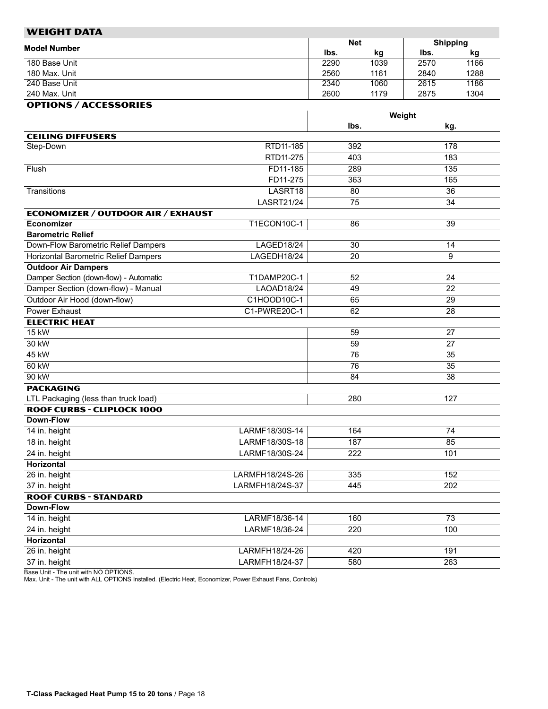<span id="page-17-0"></span>

| WEIGHT DATA                                           |                                  |              |            |                 |            |
|-------------------------------------------------------|----------------------------------|--------------|------------|-----------------|------------|
| <b>Model Number</b>                                   |                                  | <b>Net</b>   |            | <b>Shipping</b> |            |
| 180 Base Unit                                         |                                  | lbs.<br>2290 | kg<br>1039 | lbs.<br>2570    | kg<br>1166 |
| 180 Max. Unit                                         |                                  | 2560         | 1161       | 2840            | 1288       |
| 240 Base Unit                                         |                                  | 2340         | 1060       | 2615            | 1186       |
| 240 Max. Unit                                         |                                  | 2600         | 1179       | 2875            | 1304       |
| <b>OPTIONS / ACCESSORIES</b>                          |                                  |              |            |                 |            |
|                                                       |                                  |              |            | Weight          |            |
|                                                       |                                  | lbs.         |            | kg.             |            |
| <b>CEILING DIFFUSERS</b>                              |                                  |              |            |                 |            |
| Step-Down                                             | RTD11-185                        | 392          |            | 178             |            |
|                                                       | RTD11-275                        | 403          |            | 183             |            |
| Flush                                                 | FD11-185                         | 289          |            | 135             |            |
|                                                       | FD11-275                         | 363          |            | 165             |            |
| Transitions                                           | LASRT18                          | 80           |            | $\overline{36}$ |            |
|                                                       | <b>LASRT21/24</b>                | 75           |            | 34              |            |
| <b>ECONOMIZER / OUTDOOR AIR / EXHAUST</b>             |                                  |              |            |                 |            |
| <b>Economizer</b>                                     | T1ECON10C-1                      | 86           |            | 39              |            |
| <b>Barometric Relief</b>                              |                                  |              |            |                 |            |
| Down-Flow Barometric Relief Dampers                   | LAGED18/24                       | 30           |            | 14              |            |
| <b>Horizontal Barometric Relief Dampers</b>           | LAGEDH18/24                      | 20           |            | 9               |            |
| <b>Outdoor Air Dampers</b>                            |                                  |              |            |                 |            |
| Damper Section (down-flow) - Automatic                | T1DAMP20C-1                      | 52           |            | 24              |            |
| Damper Section (down-flow) - Manual                   | <b>LAOAD18/24</b>                | 49           |            | 22              |            |
| Outdoor Air Hood (down-flow)                          | C1HOOD10C-1                      | 65           |            | 29              |            |
| <b>Power Exhaust</b>                                  | C1-PWRE20C-1                     | 62           |            | 28              |            |
| <b>ELECTRIC HEAT</b>                                  |                                  |              |            |                 |            |
| 15 kW                                                 |                                  | 59           |            | 27              |            |
| 30 kW                                                 |                                  | 59           |            | 27              |            |
| 45 kW                                                 |                                  | 76           |            | $\overline{35}$ |            |
| 60 kW                                                 |                                  | 76           |            | 35              |            |
| 90 kW                                                 |                                  | 84           |            | 38              |            |
| <b>PACKAGING</b>                                      |                                  |              |            |                 |            |
| LTL Packaging (less than truck load)                  |                                  | 280          |            | 127             |            |
| <b>ROOF CURBS - CLIPLOCK 1000</b><br><b>Down-Flow</b> |                                  |              |            |                 |            |
|                                                       |                                  |              |            |                 |            |
| 14 in. height                                         | LARMF18/30S-14                   | 164          |            | 74              |            |
| 18 in. height                                         | LARMF18/30S-18<br>LARMF18/30S-24 | 187          |            | 85              |            |
| 24 in. height                                         |                                  | 222          |            | 101             |            |
| Horizontal<br>26 in. height                           | LARMFH18/24S-26                  | 335          |            | 152             |            |
| 37 in. height                                         | LARMFH18/24S-37                  | 445          |            | 202             |            |
| <b>ROOF CURBS - STANDARD</b>                          |                                  |              |            |                 |            |
| Down-Flow                                             |                                  |              |            |                 |            |
| 14 in. height                                         | LARMF18/36-14                    | 160          |            | 73              |            |
| 24 in. height                                         | LARMF18/36-24                    | 220          |            | 100             |            |
| Horizontal                                            |                                  |              |            |                 |            |
| 26 in. height                                         | LARMFH18/24-26                   | 420          |            | 191             |            |
| 37 in. height                                         | LARMFH18/24-37                   | 580          |            | 263             |            |
|                                                       |                                  |              |            |                 |            |

Base Unit − The unit with NO OPTIONS. Max. Unit − The unit with ALL OPTIONS Installed. (Electric Heat, Economizer, Power Exhaust Fans, Controls)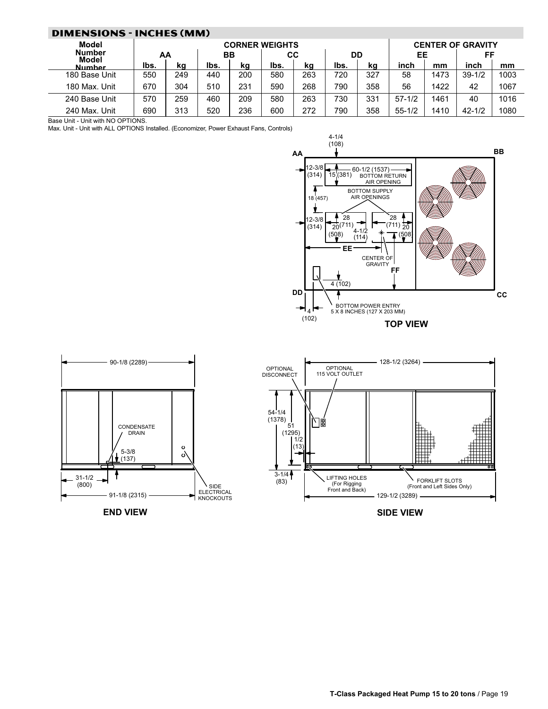<span id="page-18-0"></span>

| <b>DIMENSIONS - INCHES (MM)</b> |      |                       |      |     |      |     |      |     |                          |      |            |      |
|---------------------------------|------|-----------------------|------|-----|------|-----|------|-----|--------------------------|------|------------|------|
| Model                           |      | <b>CORNER WEIGHTS</b> |      |     |      |     |      |     | <b>CENTER OF GRAVITY</b> |      |            |      |
| <b>Number</b><br>Model          | AA   |                       | BВ   |     | CС   |     | DD   |     | EE                       |      | FF         |      |
| Numher                          | lbs. | ka                    | lbs. | ka  | lbs. | ka  | lbs. | ka  | inch                     | mm   | inch       | mm   |
| 180 Base Unit                   | 550  | 249                   | 440  | 200 | 580  | 263 | 720  | 327 | 58                       | 1473 | $39 - 1/2$ | 1003 |
| 180 Max. Unit                   | 670  | 304                   | 510  | 231 | 590  | 268 | 790  | 358 | 56                       | 1422 | 42         | 1067 |
| 240 Base Unit                   | 570  | 259                   | 460  | 209 | 580  | 263 | 730  | 331 | $57 - 1/2$               | 1461 | 40         | 1016 |
| 240 Max. Unit                   | 690  | 313                   | 520  | 236 | 600  | 272 | 790  | 358 | $55 - 1/2$               | 1410 | $42 - 1/2$ | 1080 |

Base Unit - Unit with NO OPTIONS.

Max. Unit − Unit with ALL OPTIONS Installed. (Economizer, Power Exhaust Fans, Controls)





END VIEW

SIDE VIEW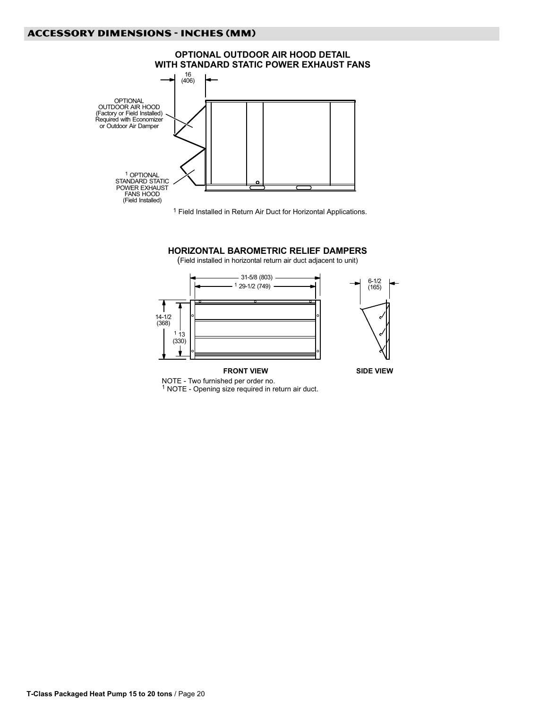

1 Field Installed in Return Air Duct for Horizontal Applications.

## HORIZONTAL BAROMETRIC RELIEF DAMPERS

(Field installed in horizontal return air duct adjacent to unit)



1 NOTE − Opening size required in return air duct.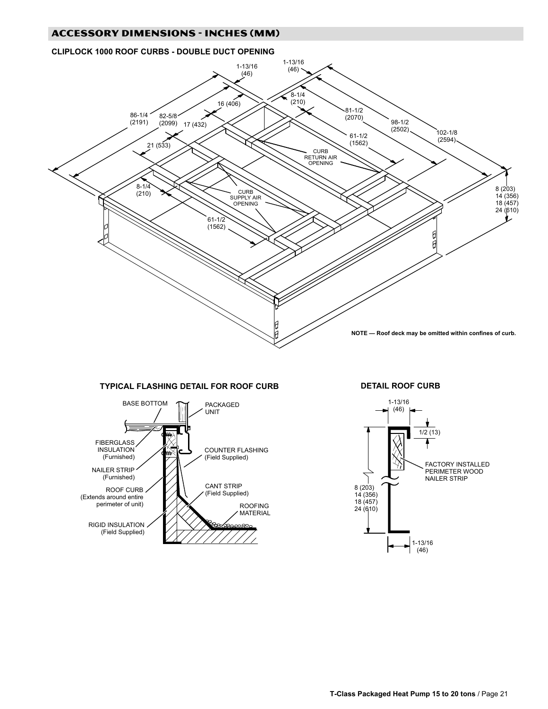# CLIPLOCK 1000 ROOF CURBS − DOUBLE DUCT OPENING



# TYPICAL FLASHING DETAIL FOR ROOF CURB



DETAIL ROOF CURB

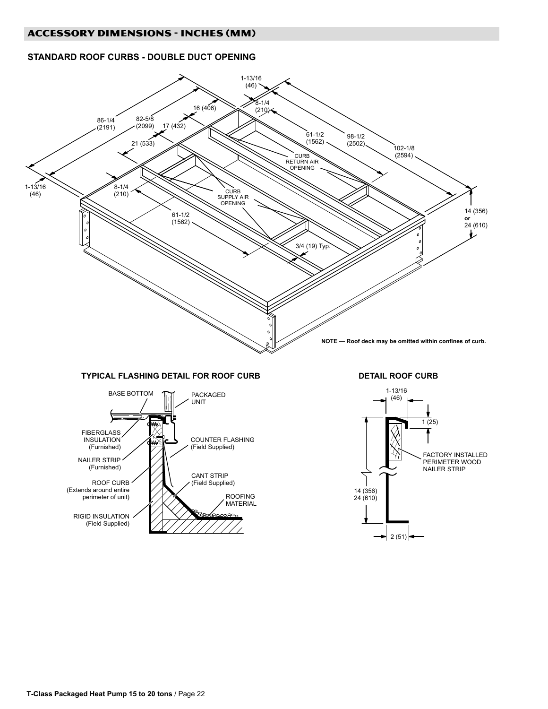# STANDARD ROOF CURBS − DOUBLE DUCT OPENING



# TYPICAL FLASHING DETAIL FOR ROOF CURB



DETAIL ROOF CURB

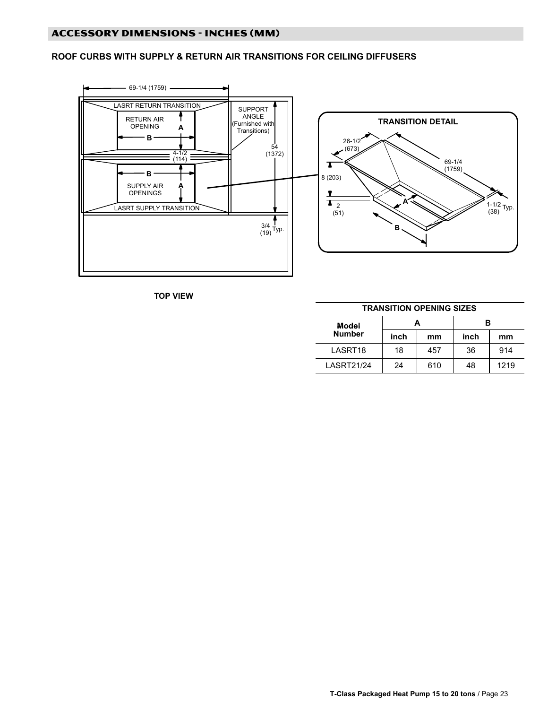# ROOF CURBS WITH SUPPLY & RETURN AIR TRANSITIONS FOR CEILING DIFFUSERS



TOP VIEW

| <b>TRANSITION OPENING SIZES</b> |      |     |      |      |  |  |  |
|---------------------------------|------|-----|------|------|--|--|--|
| Model                           |      | А   | в    |      |  |  |  |
| <b>Number</b>                   | inch | mm  | inch | mm   |  |  |  |
| LASRT18                         | 18   | 457 | 36   | 914  |  |  |  |
| <b>LASRT21/24</b>               | 24   | 610 | 48   | 1219 |  |  |  |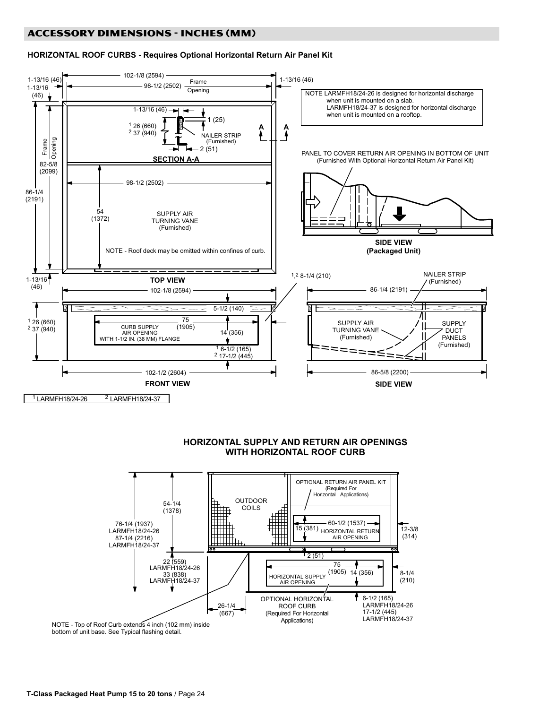# **ACCESSORY DIMENSIONS - INCHES (MM)**

## HORIZONTAL ROOF CURBS − Requires Optional Horizontal Return Air Panel Kit



# HORIZONTAL SUPPLY AND RETURN AIR OPENINGS WITH HORIZONTAL ROOF CURB



NOTE − Top of Roof Curb extends 4 inch (102 mm) inside bottom of unit base. See Typical flashing detail.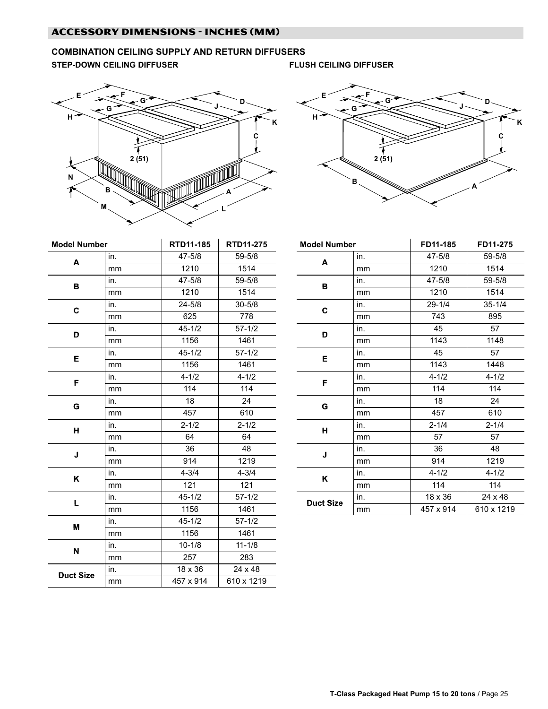# <span id="page-24-0"></span>COMBINATION CEILING SUPPLY AND RETURN DIFFUSERS

STEP-DOWN CEILING DIFFUSER FLUSH CEILING DIFFUSER





| <b>Model Number</b> |     | RTD11-185      | RTD11-275  |  |  |
|---------------------|-----|----------------|------------|--|--|
| A                   | in. | 47-5/8         | 59-5/8     |  |  |
|                     | mm  | 1210           | 1514       |  |  |
|                     | in. | 47-5/8         | 59-5/8     |  |  |
| в                   | mm  | 1210           | 1514       |  |  |
| C                   | in. | $24 - 5/8$     | $30 - 5/8$ |  |  |
|                     | mm  | 625            | 778        |  |  |
|                     | in. | $45 - 1/2$     | $57 - 1/2$ |  |  |
| D                   | mm  | 1156           | 1461       |  |  |
| Е                   | in. | $45 - 1/2$     | $57 - 1/2$ |  |  |
|                     | mm  | 1156           | 1461       |  |  |
| F                   | in. | $4 - 1/2$      | $4 - 1/2$  |  |  |
|                     | mm  | 114            | 114        |  |  |
| G                   | in. | 18             | 24         |  |  |
|                     | mm  | 457            | 610        |  |  |
| н                   | in. | $2 - 1/2$      | $2 - 1/2$  |  |  |
|                     | mm  | 64             | 64         |  |  |
| J                   | in. | 36             | 48         |  |  |
|                     | mm  | 914            | 1219       |  |  |
| Κ                   | in. | $4 - 3/4$      | $4 - 3/4$  |  |  |
|                     | mm  | 121            | 121        |  |  |
| L                   | in. | $45 - 1/2$     | $57 - 1/2$ |  |  |
|                     | mm  | 1156           | 1461       |  |  |
| M                   | in. | $45 - 1/2$     | $57 - 1/2$ |  |  |
|                     | mm  | 1156           | 1461       |  |  |
| N                   | in. | $10 - 1/8$     | $11 - 1/8$ |  |  |
|                     | mm  | 257            | 283        |  |  |
| <b>Duct Size</b>    | in. | $18 \times 36$ | 24 x 48    |  |  |
|                     | mm  | 457 x 914      | 610 x 1219 |  |  |

| <b>Model Number</b> |     | FD11-185       | FD11-275   |  |  |
|---------------------|-----|----------------|------------|--|--|
| A                   | in. | 47-5/8         | 59-5/8     |  |  |
|                     | mm  | 1210           | 1514       |  |  |
| B                   | in. | 47-5/8         | 59-5/8     |  |  |
|                     | mm  | 1210           | 1514       |  |  |
| C                   | in. | $29 - 1/4$     | $35 - 1/4$ |  |  |
|                     | mm  | 743            | 895        |  |  |
| D                   | in. | 45             | 57         |  |  |
|                     | mm  | 1143           | 1148       |  |  |
| Е                   | in. | 45             | 57         |  |  |
|                     | mm  | 1143           | 1448       |  |  |
| F                   | in. | $4 - 1/2$      | $4 - 1/2$  |  |  |
|                     | mm  | 114            | 114        |  |  |
| G                   | in. | 18             | 24         |  |  |
|                     | mm  | 457            | 610        |  |  |
| н                   | in. | $2 - 1/4$      | $2 - 1/4$  |  |  |
|                     | mm  | 57             | 57         |  |  |
| J                   | in. | 36             | 48         |  |  |
|                     | mm  | 914            | 1219       |  |  |
| Κ                   | in. | $4 - 1/2$      | $4 - 1/2$  |  |  |
|                     | mm  | 114            | 114        |  |  |
| <b>Duct Size</b>    | in. | $18 \times 36$ | 24 x 48    |  |  |
|                     | mm  | 457 x 914      | 610 x 1219 |  |  |